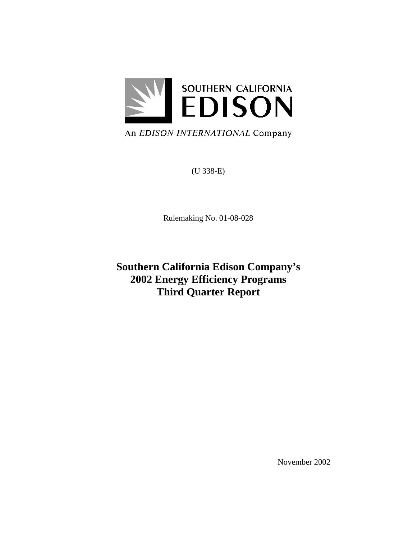

# An EDISON INTERNATIONAL Company

(U 338-E)

Rulemaking No. 01-08-028

**Southern California Edison Company's 2002 Energy Efficiency Programs Third Quarter Report**

November 2002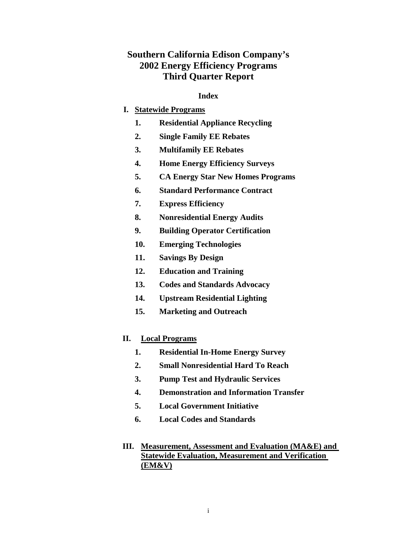# **Southern California Edison Company's 2002 Energy Efficiency Programs Third Quarter Report**

#### **Index**

### **I. Statewide Programs**

- **1. Residential Appliance Recycling**
- **2. Single Family EE Rebates**
- **3. Multifamily EE Rebates**
- **4. Home Energy Efficiency Surveys**
- **5. CA Energy Star New Homes Programs**
- **6. Standard Performance Contract**
- **7. Express Efficiency**
- **8. Nonresidential Energy Audits**
- **9. Building Operator Certification**
- **10. Emerging Technologies**
- **11. Savings By Design**
- **12. Education and Training**
- **13. Codes and Standards Advocacy**
- **14. Upstream Residential Lighting**
- **15. Marketing and Outreach**

#### **II. Local Programs**

- **1. Residential In-Home Energy Survey**
- **2. Small Nonresidential Hard To Reach**
- **3. Pump Test and Hydraulic Services**
- **4. Demonstration and Information Transfer**
- **5. Local Government Initiative**
- **6. Local Codes and Standards**

### **III. Measurement, Assessment and Evaluation (MA&E) and Statewide Evaluation, Measurement and Verification (EM&V)**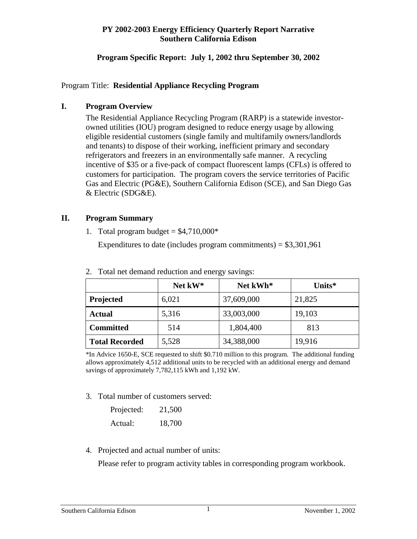### **Program Specific Report: July 1, 2002 thru September 30, 2002**

### Program Title: **Residential Appliance Recycling Program**

### **I. Program Overview**

The Residential Appliance Recycling Program (RARP) is a statewide investorowned utilities (IOU) program designed to reduce energy usage by allowing eligible residential customers (single family and multifamily owners/landlords and tenants) to dispose of their working, inefficient primary and secondary refrigerators and freezers in an environmentally safe manner. A recycling incentive of \$35 or a five-pack of compact fluorescent lamps (CFLs) is offered to customers for participation. The program covers the service territories of Pacific Gas and Electric (PG&E), Southern California Edison (SCE), and San Diego Gas & Electric (SDG&E).

### **II. Program Summary**

1. Total program budget =  $$4,710,000*$ 

Expenditures to date (includes program commitments) =  $$3,301,961$ 

|                       | Net kW* | Net kWh*   | Units $*$ |
|-----------------------|---------|------------|-----------|
| Projected             | 6,021   | 37,609,000 | 21,825    |
| <b>Actual</b>         | 5,316   | 33,003,000 | 19,103    |
| <b>Committed</b>      | 514     | 1,804,400  | 813       |
| <b>Total Recorded</b> | 5,528   | 34,388,000 | 19,916    |

2. Total net demand reduction and energy savings:

\*In Advice 1650-E, SCE requested to shift \$0.710 million to this program. The additional funding allows approximately 4,512 additional units to be recycled with an additional energy and demand savings of approximately 7,782,115 kWh and 1,192 kW.

3. Total number of customers served:

| Projected: | 21,500 |
|------------|--------|
| Actual:    | 18,700 |

4. Projected and actual number of units:

Please refer to program activity tables in corresponding program workbook.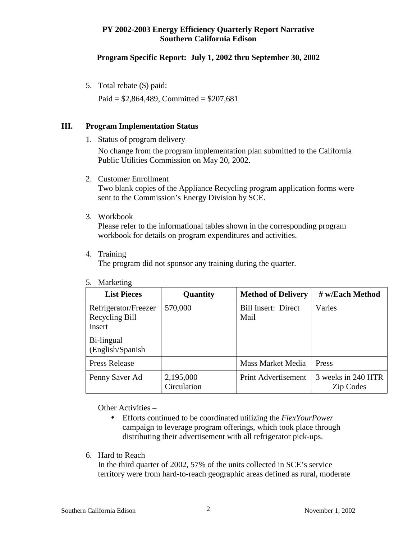### **Program Specific Report: July 1, 2002 thru September 30, 2002**

5. Total rebate (\$) paid:

Paid =  $$2,864,489$ , Committed =  $$207,681$ 

# **III. Program Implementation Status**

1. Status of program delivery

No change from the program implementation plan submitted to the California Public Utilities Commission on May 20, 2002.

2. Customer Enrollment

Two blank copies of the Appliance Recycling program application forms were sent to the Commission's Energy Division by SCE.

3. Workbook

Please refer to the informational tables shown in the corresponding program workbook for details on program expenditures and activities.

4. Training

The program did not sponsor any training during the quarter.

| <b>List Pieces</b>                               | Quantity                 | <b>Method of Delivery</b>          | # w/Each Method                        |
|--------------------------------------------------|--------------------------|------------------------------------|----------------------------------------|
| Refrigerator/Freezer<br>Recycling Bill<br>Insert | 570,000                  | <b>Bill Insert: Direct</b><br>Mail | Varies                                 |
| Bi-lingual<br>(English/Spanish)                  |                          |                                    |                                        |
| <b>Press Release</b>                             |                          | <b>Mass Market Media</b>           | Press                                  |
| Penny Saver Ad                                   | 2,195,000<br>Circulation | <b>Print Advertisement</b>         | 3 weeks in 240 HTR<br><b>Zip Codes</b> |

5. Marketing

Other Activities –

- Efforts continued to be coordinated utilizing the *FlexYourPower* campaign to leverage program offerings, which took place through distributing their advertisement with all refrigerator pick-ups.
- 6. Hard to Reach

In the third quarter of 2002, 57% of the units collected in SCE's service territory were from hard-to-reach geographic areas defined as rural, moderate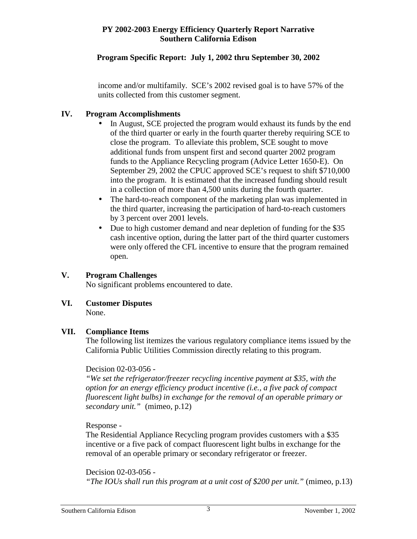### **Program Specific Report: July 1, 2002 thru September 30, 2002**

income and/or multifamily. SCE's 2002 revised goal is to have 57% of the units collected from this customer segment.

### **IV. Program Accomplishments**

- In August, SCE projected the program would exhaust its funds by the end of the third quarter or early in the fourth quarter thereby requiring SCE to close the program. To alleviate this problem, SCE sought to move additional funds from unspent first and second quarter 2002 program funds to the Appliance Recycling program (Advice Letter 1650-E). On September 29, 2002 the CPUC approved SCE's request to shift \$710,000 into the program. It is estimated that the increased funding should result in a collection of more than 4,500 units during the fourth quarter.
- The hard-to-reach component of the marketing plan was implemented in the third quarter, increasing the participation of hard-to-reach customers by 3 percent over 2001 levels.
- Due to high customer demand and near depletion of funding for the \$35 cash incentive option, during the latter part of the third quarter customers were only offered the CFL incentive to ensure that the program remained open.

### **V. Program Challenges**

No significant problems encountered to date.

**VI. Customer Disputes** 

None.

### **VII. Compliance Items**

The following list itemizes the various regulatory compliance items issued by the California Public Utilities Commission directly relating to this program.

#### Decision 02-03-056 -

*"We set the refrigerator/freezer recycling incentive payment at \$35, with the option for an energy efficiency product incentive (i.e., a five pack of compact fluorescent light bulbs) in exchange for the removal of an operable primary or secondary unit."* (mimeo, p.12)

#### Response -

The Residential Appliance Recycling program provides customers with a \$35 incentive or a five pack of compact fluorescent light bulbs in exchange for the removal of an operable primary or secondary refrigerator or freezer.

#### Decision 02-03-056 -

*"The IOUs shall run this program at a unit cost of \$200 per unit."* (mimeo, p.13)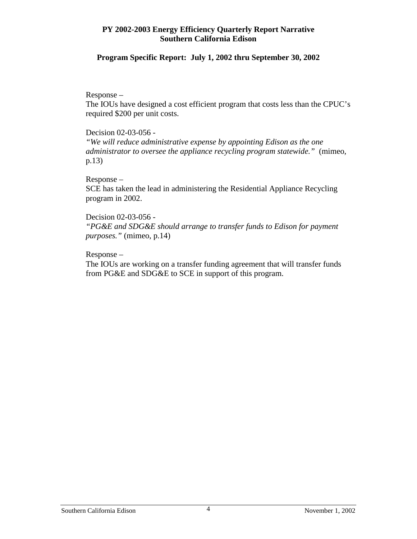### **Program Specific Report: July 1, 2002 thru September 30, 2002**

### Response –

The IOUs have designed a cost efficient program that costs less than the CPUC's required \$200 per unit costs.

### Decision 02-03-056 -

*"We will reduce administrative expense by appointing Edison as the one administrator to oversee the appliance recycling program statewide."* (mimeo, p.13)

### Response –

SCE has taken the lead in administering the Residential Appliance Recycling program in 2002.

### Decision 02-03-056 -

*"PG&E and SDG&E should arrange to transfer funds to Edison for payment purposes."* (mimeo, p.14)

### Response –

The IOUs are working on a transfer funding agreement that will transfer funds from PG&E and SDG&E to SCE in support of this program.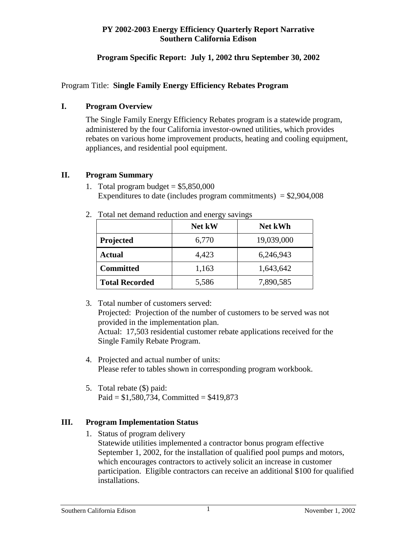### **Program Specific Report: July 1, 2002 thru September 30, 2002**

### Program Title: **Single Family Energy Efficiency Rebates Program**

### **I. Program Overview**

The Single Family Energy Efficiency Rebates program is a statewide program, administered by the four California investor-owned utilities, which provides rebates on various home improvement products, heating and cooling equipment, appliances, and residential pool equipment.

### **II. Program Summary**

1. Total program budget  $= $5,850,000$ Expenditures to date (includes program commitments)  $= $2,904,008$ 

|                       | Net kW | <b>Net kWh</b> |
|-----------------------|--------|----------------|
| Projected             | 6,770  | 19,039,000     |
| <b>Actual</b>         | 4,423  | 6,246,943      |
| <b>Committed</b>      | 1,163  | 1,643,642      |
| <b>Total Recorded</b> | 5,586  | 7,890,585      |

2. Total net demand reduction and energy savings

3. Total number of customers served:

Projected: Projection of the number of customers to be served was not provided in the implementation plan.

Actual: 17,503 residential customer rebate applications received for the Single Family Rebate Program.

- 4. Projected and actual number of units: Please refer to tables shown in corresponding program workbook.
- 5. Total rebate (\$) paid: Paid =  $$1,580,734$ , Committed =  $$419,873$

### **III. Program Implementation Status**

 1. Status of program delivery Statewide utilities implemented a contractor bonus program effective September 1, 2002, for the installation of qualified pool pumps and motors, which encourages contractors to actively solicit an increase in customer participation. Eligible contractors can receive an additional \$100 for qualified installations.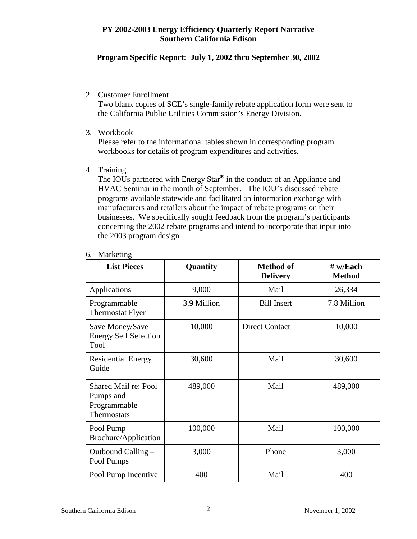### **Program Specific Report: July 1, 2002 thru September 30, 2002**

2. Customer Enrollment

Two blank copies of SCE's single-family rebate application form were sent to the California Public Utilities Commission's Energy Division.

3. Workbook

Please refer to the informational tables shown in corresponding program workbooks for details of program expenditures and activities.

4. Training

The IOUs partnered with Energy Star® in the conduct of an Appliance and HVAC Seminar in the month of September. The IOU's discussed rebate programs available statewide and facilitated an information exchange with manufacturers and retailers about the impact of rebate programs on their businesses. We specifically sought feedback from the program's participants concerning the 2002 rebate programs and intend to incorporate that input into the 2003 program design.

| <b>List Pieces</b>                                                      | Quantity    | <b>Method of</b><br><b>Delivery</b> | $#$ w/Each<br><b>Method</b> |
|-------------------------------------------------------------------------|-------------|-------------------------------------|-----------------------------|
| Applications                                                            | 9,000       | Mail                                | 26,334                      |
| Programmable<br><b>Thermostat Flyer</b>                                 | 3.9 Million | <b>Bill Insert</b>                  | 7.8 Million                 |
| Save Money/Save<br><b>Energy Self Selection</b><br>Tool                 | 10,000      | <b>Direct Contact</b>               | 10,000                      |
| <b>Residential Energy</b><br>Guide                                      | 30,600      | Mail                                | 30,600                      |
| <b>Shared Mail re: Pool</b><br>Pumps and<br>Programmable<br>Thermostats | 489,000     | Mail                                | 489,000                     |
| Pool Pump<br><b>Brochure/Application</b>                                | 100,000     | Mail                                | 100,000                     |
| Outbound Calling –<br>Pool Pumps                                        | 3,000       | Phone                               | 3,000                       |
| Pool Pump Incentive                                                     | 400         | Mail                                | 400                         |

#### 6. Marketing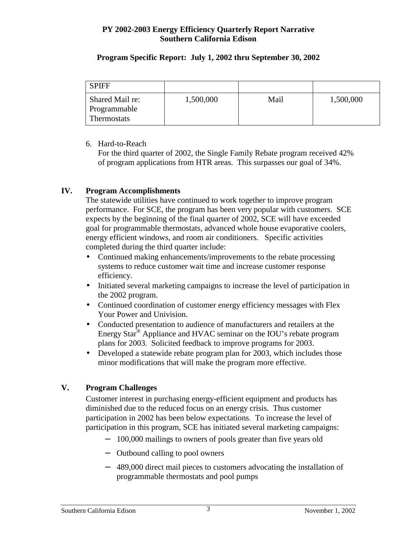### **Program Specific Report: July 1, 2002 thru September 30, 2002**

| <b>SPIFF</b>                                   |           |      |           |
|------------------------------------------------|-----------|------|-----------|
| Shared Mail re:<br>Programmable<br>Thermostats | 1,500,000 | Mail | 1,500,000 |

### 6. Hard-to-Reach

For the third quarter of 2002, the Single Family Rebate program received 42% of program applications from HTR areas. This surpasses our goal of 34%.

# **IV. Program Accomplishments**

The statewide utilities have continued to work together to improve program performance. For SCE, the program has been very popular with customers. SCE expects by the beginning of the final quarter of 2002, SCE will have exceeded goal for programmable thermostats, advanced whole house evaporative coolers, energy efficient windows, and room air conditioners. Specific activities completed during the third quarter include:

- Continued making enhancements/improvements to the rebate processing systems to reduce customer wait time and increase customer response efficiency.
- Initiated several marketing campaigns to increase the level of participation in the 2002 program.
- Continued coordination of customer energy efficiency messages with Flex Your Power and Univision.
- Conducted presentation to audience of manufacturers and retailers at the Energy Star® Appliance and HVAC seminar on the IOU's rebate program plans for 2003. Solicited feedback to improve programs for 2003.
- Developed a statewide rebate program plan for 2003, which includes those minor modifications that will make the program more effective.

# **V. Program Challenges**

Customer interest in purchasing energy-efficient equipment and products has diminished due to the reduced focus on an energy crisis. Thus customer participation in 2002 has been below expectations. To increase the level of participation in this program, SCE has initiated several marketing campaigns:

- − 100,000 mailings to owners of pools greater than five years old
- − Outbound calling to pool owners
- − 489,000 direct mail pieces to customers advocating the installation of programmable thermostats and pool pumps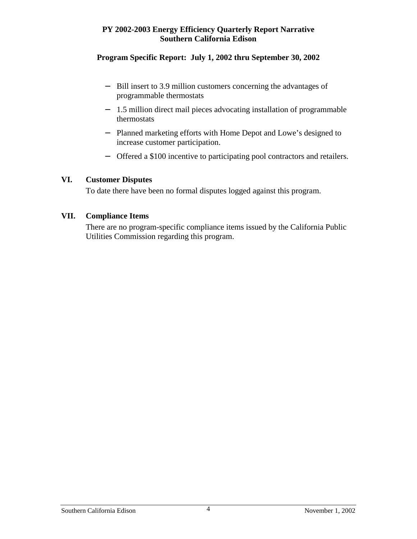### **Program Specific Report: July 1, 2002 thru September 30, 2002**

- − Bill insert to 3.9 million customers concerning the advantages of programmable thermostats
- − 1.5 million direct mail pieces advocating installation of programmable thermostats
- − Planned marketing efforts with Home Depot and Lowe's designed to increase customer participation.
- − Offered a \$100 incentive to participating pool contractors and retailers.

### **VI. Customer Disputes**

To date there have been no formal disputes logged against this program.

### **VII. Compliance Items**

There are no program-specific compliance items issued by the California Public Utilities Commission regarding this program.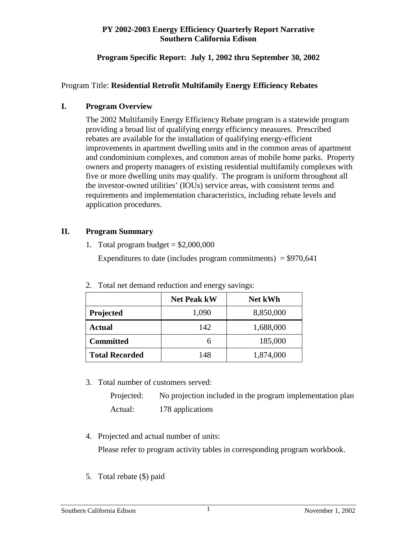### **Program Specific Report: July 1, 2002 thru September 30, 2002**

### Program Title: **Residential Retrofit Multifamily Energy Efficiency Rebates**

### **I. Program Overview**

The 2002 Multifamily Energy Efficiency Rebate program is a statewide program providing a broad list of qualifying energy efficiency measures. Prescribed rebates are available for the installation of qualifying energy-efficient improvements in apartment dwelling units and in the common areas of apartment and condominium complexes, and common areas of mobile home parks. Property owners and property managers of existing residential multifamily complexes with five or more dwelling units may qualify. The program is uniform throughout all the investor-owned utilities' (IOUs) service areas, with consistent terms and requirements and implementation characteristics, including rebate levels and application procedures.

### **II. Program Summary**

1. Total program budget  $= $2,000,000$ 

Expenditures to date (includes program commitments)  $= $970,641$ 

|                       | <b>Net Peak kW</b> | Net kWh   |
|-----------------------|--------------------|-----------|
| Projected             | 1,090              | 8,850,000 |
| <b>Actual</b>         | 142                | 1,688,000 |
| <b>Committed</b>      | 6                  | 185,000   |
| <b>Total Recorded</b> | 148                | 1,874,000 |

| 2. Total net demand reduction and energy savings: |  |
|---------------------------------------------------|--|
|                                                   |  |

3. Total number of customers served:

Projected: No projection included in the program implementation plan Actual: 178 applications

- 4. Projected and actual number of units: Please refer to program activity tables in corresponding program workbook.
- 5. Total rebate (\$) paid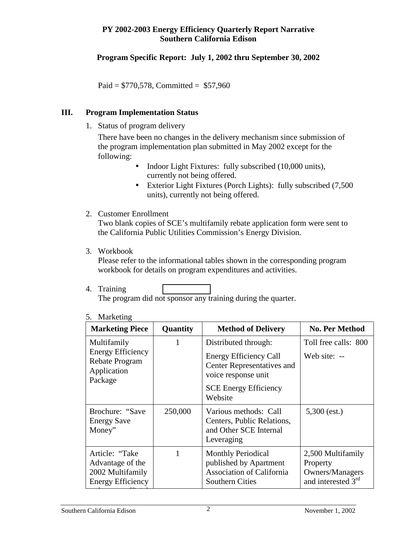### **Program Specific Report: July 1, 2002 thru September 30, 2002**

Paid = \$770,578, Committed = \$57,960

### **III. Program Implementation Status**

1. Status of program delivery

There have been no changes in the delivery mechanism since submission of the program implementation plan submitted in May 2002 except for the following:

- Indoor Light Fixtures: fully subscribed (10,000 units), currently not being offered.
- Exterior Light Fixtures (Porch Lights): fully subscribed (7,500) units), currently not being offered.
- 2. Customer Enrollment

Two blank copies of SCE's multifamily rebate application form were sent to the California Public Utilities Commission's Energy Division.

3. Workbook

Please refer to the informational tables shown in the corresponding program workbook for details on program expenditures and activities.

4. Training

The program did not sponsor any training during the quarter.

| <b>Marketing Piece</b>                                                              | Quantity | <b>Method of Delivery</b>                                                                                         | <b>No. Per Method</b>                                                                     |
|-------------------------------------------------------------------------------------|----------|-------------------------------------------------------------------------------------------------------------------|-------------------------------------------------------------------------------------------|
| Multifamily<br><b>Energy Efficiency</b><br>Rebate Program<br>Application<br>Package | 1        | Distributed through:<br>Energy Efficiency Call<br>Center Representatives and<br>voice response unit               | Toll free calls: 800<br>Web site: $-$                                                     |
|                                                                                     |          | <b>SCE Energy Efficiency</b><br>Website                                                                           |                                                                                           |
| Brochure: "Save<br><b>Energy Save</b><br>Money"                                     | 250,000  | Various methods: Call<br>Centers, Public Relations,<br>and Other SCE Internal<br>Leveraging                       | $5,300$ (est.)                                                                            |
| Article: "Take<br>Advantage of the<br>2002 Multifamily<br><b>Energy Efficiency</b>  |          | <b>Monthly Periodical</b><br>published by Apartment<br><b>Association of California</b><br><b>Southern Cities</b> | 2,500 Multifamily<br>Property<br><b>Owners/Managers</b><br>and interested 3 <sup>rd</sup> |

#### 5. Marketing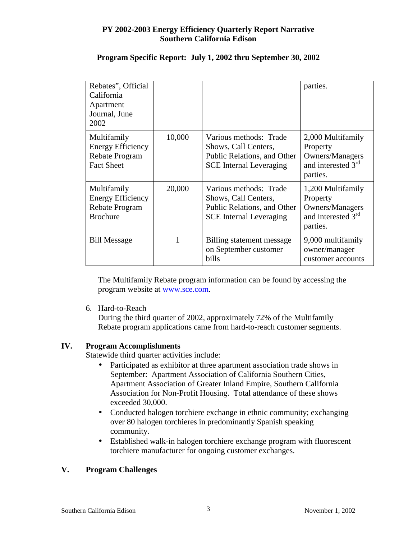### **Program Specific Report: July 1, 2002 thru September 30, 2002**

| Rebates", Official<br>California<br>Apartment<br>Journal, June<br>2002         |        |                                                                                                                 | parties.                                                                                       |
|--------------------------------------------------------------------------------|--------|-----------------------------------------------------------------------------------------------------------------|------------------------------------------------------------------------------------------------|
| Multifamily<br><b>Energy Efficiency</b><br>Rebate Program<br><b>Fact Sheet</b> | 10,000 | Various methods: Trade<br>Shows, Call Centers,<br>Public Relations, and Other<br><b>SCE</b> Internal Leveraging | 2,000 Multifamily<br>Property<br>Owners/Managers<br>and interested 3 <sup>rd</sup><br>parties. |
| Multifamily<br><b>Energy Efficiency</b><br>Rebate Program<br><b>Brochure</b>   | 20,000 | Various methods: Trade<br>Shows, Call Centers,<br>Public Relations, and Other<br><b>SCE</b> Internal Leveraging | 1,200 Multifamily<br>Property<br>Owners/Managers<br>and interested 3 <sup>rd</sup><br>parties. |
| <b>Bill Message</b>                                                            |        | Billing statement message<br>on September customer<br>bills                                                     | 9,000 multifamily<br>owner/manager<br>customer accounts                                        |

The Multifamily Rebate program information can be found by accessing the program website at www.sce.com.

6. Hard-to-Reach

During the third quarter of 2002, approximately 72% of the Multifamily Rebate program applications came from hard-to-reach customer segments.

# **IV. Program Accomplishments**

Statewide third quarter activities include:

- Participated as exhibitor at three apartment association trade shows in September: Apartment Association of California Southern Cities, Apartment Association of Greater Inland Empire, Southern California Association for Non-Profit Housing. Total attendance of these shows exceeded 30,000.
- Conducted halogen torchiere exchange in ethnic community; exchanging over 80 halogen torchieres in predominantly Spanish speaking community.
- Established walk-in halogen torchiere exchange program with fluorescent torchiere manufacturer for ongoing customer exchanges.

# **V. Program Challenges**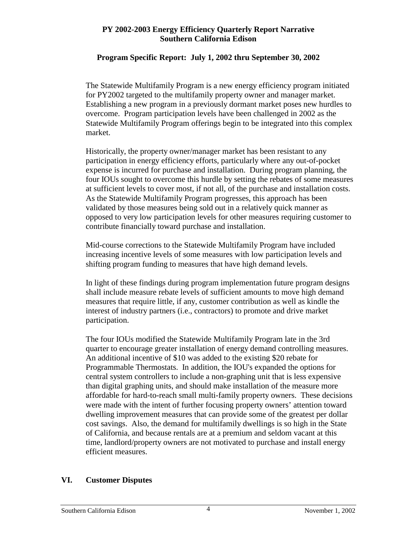### **Program Specific Report: July 1, 2002 thru September 30, 2002**

The Statewide Multifamily Program is a new energy efficiency program initiated for PY2002 targeted to the multifamily property owner and manager market. Establishing a new program in a previously dormant market poses new hurdles to overcome. Program participation levels have been challenged in 2002 as the Statewide Multifamily Program offerings begin to be integrated into this complex market.

Historically, the property owner/manager market has been resistant to any participation in energy efficiency efforts, particularly where any out-of-pocket expense is incurred for purchase and installation. During program planning, the four IOUs sought to overcome this hurdle by setting the rebates of some measures at sufficient levels to cover most, if not all, of the purchase and installation costs. As the Statewide Multifamily Program progresses, this approach has been validated by those measures being sold out in a relatively quick manner as opposed to very low participation levels for other measures requiring customer to contribute financially toward purchase and installation.

Mid-course corrections to the Statewide Multifamily Program have included increasing incentive levels of some measures with low participation levels and shifting program funding to measures that have high demand levels.

In light of these findings during program implementation future program designs shall include measure rebate levels of sufficient amounts to move high demand measures that require little, if any, customer contribution as well as kindle the interest of industry partners (i.e., contractors) to promote and drive market participation.

The four IOUs modified the Statewide Multifamily Program late in the 3rd quarter to encourage greater installation of energy demand controlling measures. An additional incentive of \$10 was added to the existing \$20 rebate for Programmable Thermostats. In addition, the IOU's expanded the options for central system controllers to include a non-graphing unit that is less expensive than digital graphing units, and should make installation of the measure more affordable for hard-to-reach small multi-family property owners. These decisions were made with the intent of further focusing property owners' attention toward dwelling improvement measures that can provide some of the greatest per dollar cost savings. Also, the demand for multifamily dwellings is so high in the State of California, and because rentals are at a premium and seldom vacant at this time, landlord/property owners are not motivated to purchase and install energy efficient measures.

#### **VI. Customer Disputes**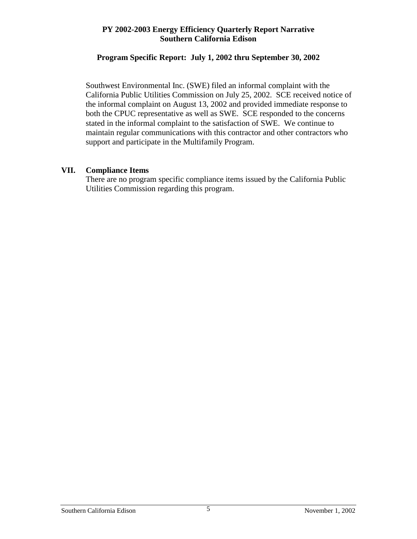### **Program Specific Report: July 1, 2002 thru September 30, 2002**

Southwest Environmental Inc. (SWE) filed an informal complaint with the California Public Utilities Commission on July 25, 2002. SCE received notice of the informal complaint on August 13, 2002 and provided immediate response to both the CPUC representative as well as SWE. SCE responded to the concerns stated in the informal complaint to the satisfaction of SWE. We continue to maintain regular communications with this contractor and other contractors who support and participate in the Multifamily Program.

### **VII. Compliance Items**

There are no program specific compliance items issued by the California Public Utilities Commission regarding this program.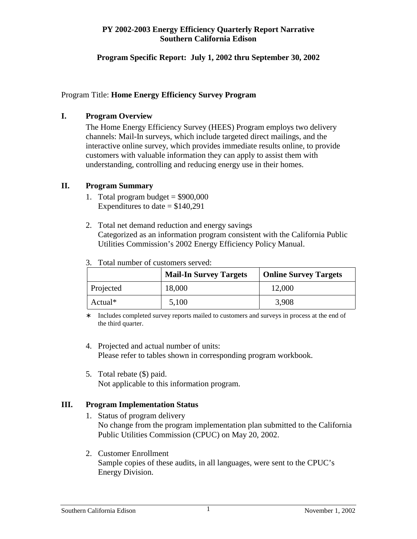### **Program Specific Report: July 1, 2002 thru September 30, 2002**

### Program Title: **Home Energy Efficiency Survey Program**

### **I. Program Overview**

The Home Energy Efficiency Survey (HEES) Program employs two delivery channels: Mail-In surveys, which include targeted direct mailings, and the interactive online survey, which provides immediate results online, to provide customers with valuable information they can apply to assist them with understanding, controlling and reducing energy use in their homes.

### **II. Program Summary**

- 1. Total program budget  $= $900,000$ Expenditures to date  $= $140,291$
- 2. Total net demand reduction and energy savings Categorized as an information program consistent with the California Public Utilities Commission's 2002 Energy Efficiency Policy Manual.

|           | <b>Mail-In Survey Targets</b> | <b>Online Survey Targets</b> |
|-----------|-------------------------------|------------------------------|
| Projected | 18,000                        | 12,000                       |
| $Actual*$ | 5,100                         | 3,908                        |

3. Total number of customers served:

∗ Includes completed survey reports mailed to customers and surveys in process at the end of the third quarter.

- 4. Projected and actual number of units: Please refer to tables shown in corresponding program workbook.
- 5. Total rebate (\$) paid. Not applicable to this information program.

### **III. Program Implementation Status**

- 1. Status of program delivery No change from the program implementation plan submitted to the California Public Utilities Commission (CPUC) on May 20, 2002.
- 2. Customer Enrollment Sample copies of these audits, in all languages, were sent to the CPUC's Energy Division.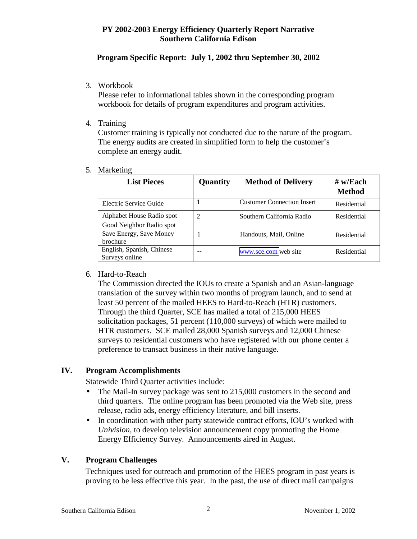### **Program Specific Report: July 1, 2002 thru September 30, 2002**

3. Workbook

Please refer to informational tables shown in the corresponding program workbook for details of program expenditures and program activities.

4. Training

Customer training is typically not conducted due to the nature of the program. The energy audits are created in simplified form to help the customer's complete an energy audit.

| <b>List Pieces</b>                                    | Quantity | <b>Method of Delivery</b>         | $#$ w/Each<br><b>Method</b> |
|-------------------------------------------------------|----------|-----------------------------------|-----------------------------|
| Electric Service Guide                                |          | <b>Customer Connection Insert</b> | Residential                 |
| Alphabet House Radio spot<br>Good Neighbor Radio spot |          | Southern California Radio         | Residential                 |
| Save Energy, Save Money<br><b>brochure</b>            |          | Handouts, Mail, Online            | Residential                 |
| English, Spanish, Chinese<br>Surveys online           | --       | www.sce.com web site              | Residential                 |

5. Marketing

# 6. Hard-to-Reach

The Commission directed the IOUs to create a Spanish and an Asian-language translation of the survey within two months of program launch, and to send at least 50 percent of the mailed HEES to Hard-to-Reach (HTR) customers. Through the third Quarter, SCE has mailed a total of 215,000 HEES solicitation packages, 51 percent (110,000 surveys) of which were mailed to HTR customers. SCE mailed 28,000 Spanish surveys and 12,000 Chinese surveys to residential customers who have registered with our phone center a preference to transact business in their native language.

# **IV. Program Accomplishments**

Statewide Third Quarter activities include:

- The Mail-In survey package was sent to 215,000 customers in the second and third quarters. The online program has been promoted via the Web site, press release, radio ads, energy efficiency literature, and bill inserts.
- In coordination with other party statewide contract efforts, IOU's worked with *Univision*, to develop television announcement copy promoting the Home Energy Efficiency Survey. Announcements aired in August.

# **V. Program Challenges**

 Techniques used for outreach and promotion of the HEES program in past years is proving to be less effective this year. In the past, the use of direct mail campaigns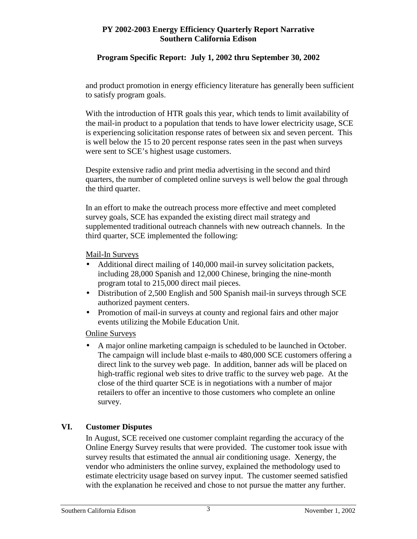### **Program Specific Report: July 1, 2002 thru September 30, 2002**

and product promotion in energy efficiency literature has generally been sufficient to satisfy program goals.

With the introduction of HTR goals this year, which tends to limit availability of the mail-in product to a population that tends to have lower electricity usage, SCE is experiencing solicitation response rates of between six and seven percent. This is well below the 15 to 20 percent response rates seen in the past when surveys were sent to SCE's highest usage customers.

 Despite extensive radio and print media advertising in the second and third quarters, the number of completed online surveys is well below the goal through the third quarter.

In an effort to make the outreach process more effective and meet completed survey goals, SCE has expanded the existing direct mail strategy and supplemented traditional outreach channels with new outreach channels. In the third quarter, SCE implemented the following:

Mail-In Surveys

- Additional direct mailing of 140,000 mail-in survey solicitation packets, including 28,000 Spanish and 12,000 Chinese, bringing the nine-month program total to 215,000 direct mail pieces.
- Distribution of 2,500 English and 500 Spanish mail-in surveys through SCE authorized payment centers.
- Promotion of mail-in surveys at county and regional fairs and other major events utilizing the Mobile Education Unit.

### Online Surveys

• A major online marketing campaign is scheduled to be launched in October. The campaign will include blast e-mails to 480,000 SCE customers offering a direct link to the survey web page. In addition, banner ads will be placed on high-traffic regional web sites to drive traffic to the survey web page. At the close of the third quarter SCE is in negotiations with a number of major retailers to offer an incentive to those customers who complete an online survey.

### **VI. Customer Disputes**

In August, SCE received one customer complaint regarding the accuracy of the Online Energy Survey results that were provided. The customer took issue with survey results that estimated the annual air conditioning usage. Xenergy, the vendor who administers the online survey, explained the methodology used to estimate electricity usage based on survey input. The customer seemed satisfied with the explanation he received and chose to not pursue the matter any further.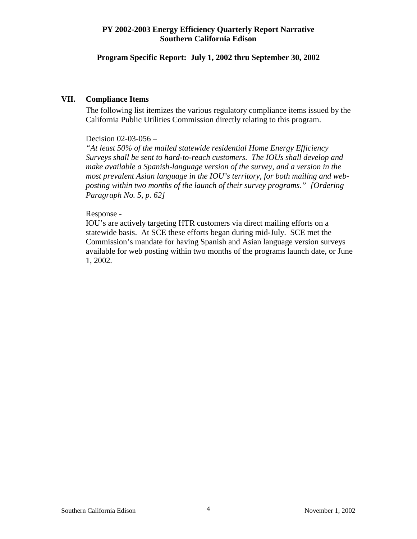**Program Specific Report: July 1, 2002 thru September 30, 2002** 

### **VII. Compliance Items**

The following list itemizes the various regulatory compliance items issued by the California Public Utilities Commission directly relating to this program.

Decision 02-03-056 –

*"At least 50% of the mailed statewide residential Home Energy Efficiency Surveys shall be sent to hard-to-reach customers. The IOUs shall develop and make available a Spanish-language version of the survey, and a version in the most prevalent Asian language in the IOU's territory, for both mailing and webposting within two months of the launch of their survey programs." [Ordering Paragraph No. 5, p. 62]* 

### Response -

IOU's are actively targeting HTR customers via direct mailing efforts on a statewide basis. At SCE these efforts began during mid-July. SCE met the Commission's mandate for having Spanish and Asian language version surveys available for web posting within two months of the programs launch date, or June 1, 2002*.*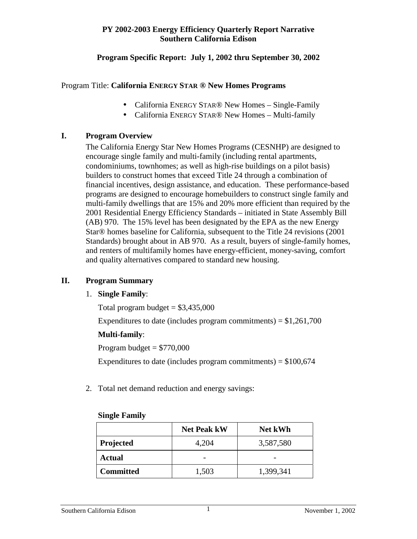### **Program Specific Report: July 1, 2002 thru September 30, 2002**

### Program Title: **California ENERGY STAR ® New Homes Programs**

- California ENERGY STAR® New Homes Single-Family
- California ENERGY STAR® New Homes Multi-family

### **I. Program Overview**

The California Energy Star New Homes Programs (CESNHP) are designed to encourage single family and multi-family (including rental apartments, condominiums, townhomes; as well as high-rise buildings on a pilot basis) builders to construct homes that exceed Title 24 through a combination of financial incentives, design assistance, and education. These performance-based programs are designed to encourage homebuilders to construct single family and multi-family dwellings that are 15% and 20% more efficient than required by the 2001 Residential Energy Efficiency Standards – initiated in State Assembly Bill (AB) 970. The 15% level has been designated by the EPA as the new Energy Star® homes baseline for California, subsequent to the Title 24 revisions (2001 Standards) brought about in AB 970. As a result, buyers of single-family homes, and renters of multifamily homes have energy-efficient, money-saving, comfort and quality alternatives compared to standard new housing.

# **II. Program Summary**

### 1. **Single Family**:

Total program budget  $= $3,435,000$ 

Expenditures to date (includes program commitments) =  $$1,261,700$ 

### **Multi-family**:

Program budget  $= $770,000$ Expenditures to date (includes program commitments)  $= $100,674$ 

2. Total net demand reduction and energy savings:

|                  | <b>Net Peak kW</b> | <b>Net kWh</b> |
|------------------|--------------------|----------------|
| Projected        | 4,204              | 3,587,580      |
| <b>Actual</b>    |                    |                |
| <b>Committed</b> | 1,503              | 1,399,341      |

#### **Single Family**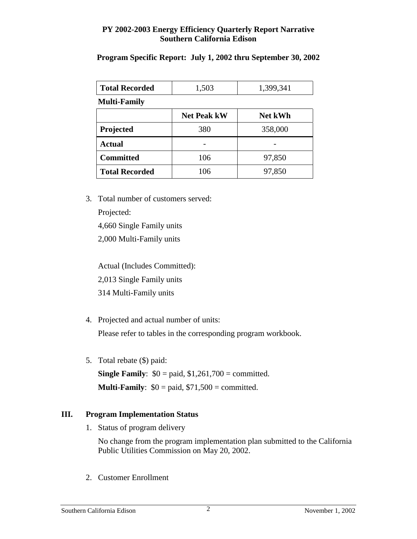### **Program Specific Report: July 1, 2002 thru September 30, 2002**

| <b>Total Recorded</b> | 1,503 | 1,399,341 |
|-----------------------|-------|-----------|
| <b>Multi-Family</b>   |       |           |

|                       | <b>Net Peak kW</b> | <b>Net kWh</b> |
|-----------------------|--------------------|----------------|
| Projected             | 380                | 358,000        |
| <b>Actual</b>         |                    |                |
| <b>Committed</b>      | 106                | 97,850         |
| <b>Total Recorded</b> | 106                | 97,850         |

 3. Total number of customers served: Projected:

4,660 Single Family units

2,000 Multi-Family units

Actual (Includes Committed):

2,013 Single Family units

314 Multi-Family units

4. Projected and actual number of units:

Please refer to tables in the corresponding program workbook.

5. Total rebate (\$) paid:

**Single Family:**  $$0 =$  paid,  $$1,261,700 =$  committed. **Multi-Family**:  $$0 = paid, $71,500 = committed.$ 

# **III. Program Implementation Status**

1. Status of program delivery

No change from the program implementation plan submitted to the California Public Utilities Commission on May 20, 2002.

2. Customer Enrollment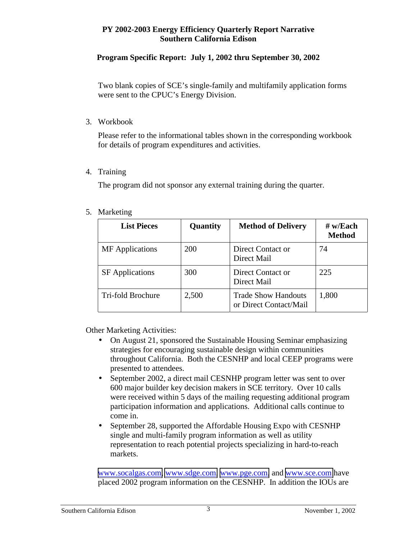### **Program Specific Report: July 1, 2002 thru September 30, 2002**

Two blank copies of SCE's single-family and multifamily application forms were sent to the CPUC's Energy Division.

3. Workbook

Please refer to the informational tables shown in the corresponding workbook for details of program expenditures and activities.

4. Training

The program did not sponsor any external training during the quarter.

5. Marketing

| <b>List Pieces</b>     | Quantity   | <b>Method of Delivery</b>                            | $#$ w/Each<br><b>Method</b> |
|------------------------|------------|------------------------------------------------------|-----------------------------|
| <b>MF</b> Applications | <b>200</b> | Direct Contact or<br>Direct Mail                     | 74                          |
| <b>SF</b> Applications | <b>300</b> | Direct Contact or<br>Direct Mail                     | 225                         |
| Tri-fold Brochure      | 2,500      | <b>Trade Show Handouts</b><br>or Direct Contact/Mail | 1,800                       |

Other Marketing Activities:

- On August 21, sponsored the Sustainable Housing Seminar emphasizing strategies for encouraging sustainable design within communities throughout California. Both the CESNHP and local CEEP programs were presented to attendees.
- September 2002, a direct mail CESNHP program letter was sent to over 600 major builder key decision makers in SCE territory. Over 10 calls were received within 5 days of the mailing requesting additional program participation information and applications. Additional calls continue to come in.
- September 28, supported the Affordable Housing Expo with CESNHP single and multi-family program information as well as utility representation to reach potential projects specializing in hard-to-reach markets.

[www.socalgas.com,](http://www.socalgas.com/) [www.sdge.com,](http://www.sdge.com/) [www.pge.com,](http://www.pge.com/) and [www.sce.com](http://www.sce.com/) have placed 2002 program information on the CESNHP. In addition the IOUs are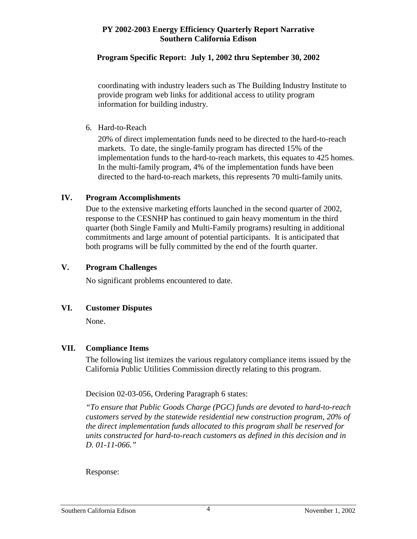### **Program Specific Report: July 1, 2002 thru September 30, 2002**

coordinating with industry leaders such as The Building Industry Institute to provide program web links for additional access to utility program information for building industry.

6. Hard-to-Reach

20% of direct implementation funds need to be directed to the hard-to-reach markets. To date, the single-family program has directed 15% of the implementation funds to the hard-to-reach markets, this equates to 425 homes. In the multi-family program, 4% of the implementation funds have been directed to the hard-to-reach markets, this represents 70 multi-family units.

### **IV. Program Accomplishments**

Due to the extensive marketing efforts launched in the second quarter of 2002, response to the CESNHP has continued to gain heavy momentum in the third quarter (both Single Family and Multi-Family programs) resulting in additional commitments and large amount of potential participants. It is anticipated that both programs will be fully committed by the end of the fourth quarter.

### **V. Program Challenges**

No significant problems encountered to date.

### **VI. Customer Disputes**

None.

### **VII. Compliance Items**

The following list itemizes the various regulatory compliance items issued by the California Public Utilities Commission directly relating to this program.

Decision 02-03-056, Ordering Paragraph 6 states:

*"To ensure that Public Goods Charge (PGC) funds are devoted to hard-to-reach customers served by the statewide residential new construction program, 20% of the direct implementation funds allocated to this program shall be reserved for units constructed for hard-to-reach customers as defined in this decision and in D. 01-11-066."* 

Response: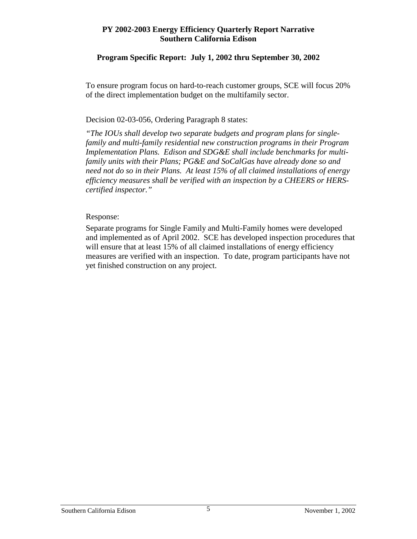### **Program Specific Report: July 1, 2002 thru September 30, 2002**

To ensure program focus on hard-to-reach customer groups, SCE will focus 20% of the direct implementation budget on the multifamily sector.

### Decision 02-03-056, Ordering Paragraph 8 states:

*"The IOUs shall develop two separate budgets and program plans for singlefamily and multi-family residential new construction programs in their Program Implementation Plans. Edison and SDG&E shall include benchmarks for multifamily units with their Plans; PG&E and SoCalGas have already done so and need not do so in their Plans. At least 15% of all claimed installations of energy efficiency measures shall be verified with an inspection by a CHEERS or HERScertified inspector."* 

#### Response:

Separate programs for Single Family and Multi-Family homes were developed and implemented as of April 2002. SCE has developed inspection procedures that will ensure that at least 15% of all claimed installations of energy efficiency measures are verified with an inspection. To date, program participants have not yet finished construction on any project.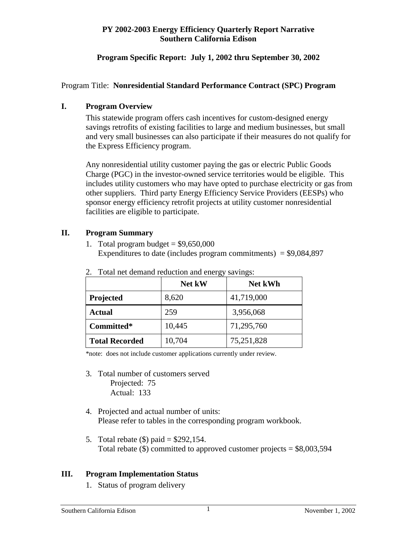### **Program Specific Report: July 1, 2002 thru September 30, 2002**

### Program Title: **Nonresidential Standard Performance Contract (SPC) Program**

### **I. Program Overview**

This statewide program offers cash incentives for custom-designed energy savings retrofits of existing facilities to large and medium businesses, but small and very small businesses can also participate if their measures do not qualify for the Express Efficiency program.

Any nonresidential utility customer paying the gas or electric Public Goods Charge (PGC) in the investor-owned service territories would be eligible. This includes utility customers who may have opted to purchase electricity or gas from other suppliers. Third party Energy Efficiency Service Providers (EESPs) who sponsor energy efficiency retrofit projects at utility customer nonresidential facilities are eligible to participate.

### **II. Program Summary**

1. Total program budget =  $$9,650,000$ Expenditures to date (includes program commitments)  $= $9,084,897$ 

|                       | <b>Net kW</b> | <b>Net kWh</b> |
|-----------------------|---------------|----------------|
| Projected             | 8,620         | 41,719,000     |
| <b>Actual</b>         | 259           | 3,956,068      |
| Committed*            | 10,445        | 71,295,760     |
| <b>Total Recorded</b> | 10,704        | 75,251,828     |

2. Total net demand reduction and energy savings:

\*note: does not include customer applications currently under review.

- 3. Total number of customers served Projected: 75 Actual: 133
- 4. Projected and actual number of units: Please refer to tables in the corresponding program workbook.
- 5. Total rebate  $(\$)$  paid = \$292,154. Total rebate  $(\$)$  committed to approved customer projects =  $\$8,003,594$

### **III. Program Implementation Status**

1. Status of program delivery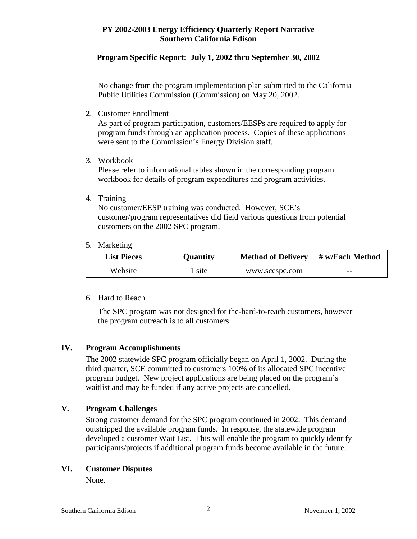### **Program Specific Report: July 1, 2002 thru September 30, 2002**

No change from the program implementation plan submitted to the California Public Utilities Commission (Commission) on May 20, 2002.

2. Customer Enrollment

As part of program participation, customers/EESPs are required to apply for program funds through an application process. Copies of these applications were sent to the Commission's Energy Division staff.

3. Workbook

Please refer to informational tables shown in the corresponding program workbook for details of program expenditures and program activities.

4. Training

No customer/EESP training was conducted. However, SCE's customer/program representatives did field various questions from potential customers on the 2002 SPC program.

#### 5. Marketing

| <b>List Pieces</b> | <b>Quantity</b> | <b>Method of Delivery</b> | # w/Each Method |
|--------------------|-----------------|---------------------------|-----------------|
| Website            | site            | www.scespc.com            | $- -$           |

6. Hard to Reach

The SPC program was not designed for the-hard-to-reach customers, however the program outreach is to all customers.

### **IV. Program Accomplishments**

The 2002 statewide SPC program officially began on April 1, 2002. During the third quarter, SCE committed to customers 100% of its allocated SPC incentive program budget. New project applications are being placed on the program's waitlist and may be funded if any active projects are cancelled.

### **V. Program Challenges**

Strong customer demand for the SPC program continued in 2002. This demand outstripped the available program funds. In response, the statewide program developed a customer Wait List. This will enable the program to quickly identify participants/projects if additional program funds become available in the future.

### **VI. Customer Disputes**

None.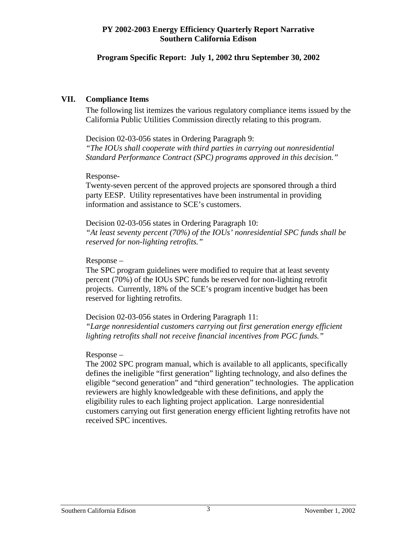**Program Specific Report: July 1, 2002 thru September 30, 2002** 

## **VII. Compliance Items**

The following list itemizes the various regulatory compliance items issued by the California Public Utilities Commission directly relating to this program.

Decision 02-03-056 states in Ordering Paragraph 9: *"The IOUs shall cooperate with third parties in carrying out nonresidential Standard Performance Contract (SPC) programs approved in this decision."* 

### Response-

Twenty-seven percent of the approved projects are sponsored through a third party EESP. Utility representatives have been instrumental in providing information and assistance to SCE's customers.

Decision 02-03-056 states in Ordering Paragraph 10: *"At least seventy percent (70%) of the IOUs' nonresidential SPC funds shall be reserved for non-lighting retrofits."* 

### Response –

The SPC program guidelines were modified to require that at least seventy percent (70%) of the IOUs SPC funds be reserved for non-lighting retrofit projects. Currently, 18% of the SCE's program incentive budget has been reserved for lighting retrofits.

Decision 02-03-056 states in Ordering Paragraph 11:

*"Large nonresidential customers carrying out first generation energy efficient lighting retrofits shall not receive financial incentives from PGC funds."* 

### Response –

The 2002 SPC program manual, which is available to all applicants, specifically defines the ineligible "first generation" lighting technology, and also defines the eligible "second generation" and "third generation" technologies. The application reviewers are highly knowledgeable with these definitions, and apply the eligibility rules to each lighting project application. Large nonresidential customers carrying out first generation energy efficient lighting retrofits have not received SPC incentives.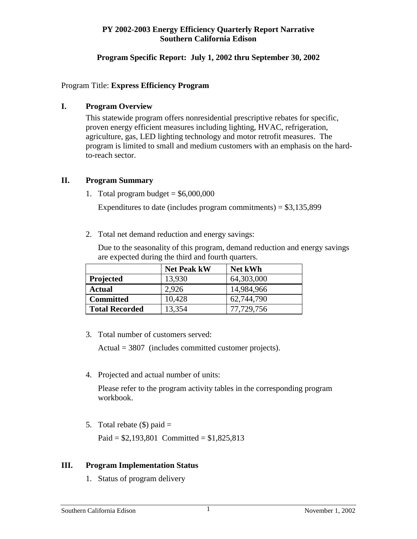### **Program Specific Report: July 1, 2002 thru September 30, 2002**

#### Program Title: **Express Efficiency Program**

### **I. Program Overview**

This statewide program offers nonresidential prescriptive rebates for specific, proven energy efficient measures including lighting, HVAC, refrigeration, agriculture, gas, LED lighting technology and motor retrofit measures. The program is limited to small and medium customers with an emphasis on the hardto-reach sector.

### **II. Program Summary**

1. Total program budget =  $$6,000,000$ 

Expenditures to date (includes program commitments)  $= $3,135,899$ 

2. Total net demand reduction and energy savings:

Due to the seasonality of this program, demand reduction and energy savings are expected during the third and fourth quarters.

|                       | <b>Net Peak kW</b> | Net kWh    |
|-----------------------|--------------------|------------|
| <b>Projected</b>      | 13,930             | 64,303,000 |
| <b>Actual</b>         | 2.926              | 14,984,966 |
| <b>Committed</b>      | 10,428             | 62,744,790 |
| <b>Total Recorded</b> | 13,354             | 77,729,756 |

3. Total number of customers served:

Actual = 3807 (includes committed customer projects).

4. Projected and actual number of units:

Please refer to the program activity tables in the corresponding program workbook.

5. Total rebate  $(\$)$  paid =

Paid =  $$2,193,801$  Committed =  $$1,825,813$ 

### **III. Program Implementation Status**

1. Status of program delivery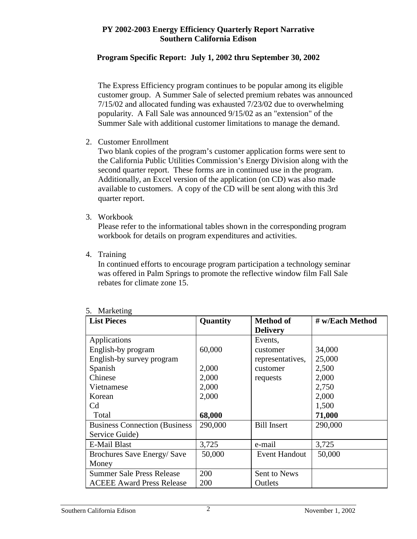### **Program Specific Report: July 1, 2002 thru September 30, 2002**

The Express Efficiency program continues to be popular among its eligible customer group. A Summer Sale of selected premium rebates was announced 7/15/02 and allocated funding was exhausted 7/23/02 due to overwhelming popularity. A Fall Sale was announced 9/15/02 as an "extension" of the Summer Sale with additional customer limitations to manage the demand.

2. Customer Enrollment

Two blank copies of the program's customer application forms were sent to the California Public Utilities Commission's Energy Division along with the second quarter report. These forms are in continued use in the program. Additionally, an Excel version of the application (on CD) was also made available to customers. A copy of the CD will be sent along with this 3rd quarter report.

3. Workbook

Please refer to the informational tables shown in the corresponding program workbook for details on program expenditures and activities.

4. Training

In continued efforts to encourage program participation a technology seminar was offered in Palm Springs to promote the reflective window film Fall Sale rebates for climate zone 15.

| <b>List Pieces</b>                    | Quantity | <b>Method of</b>     | # w/Each Method |
|---------------------------------------|----------|----------------------|-----------------|
|                                       |          | <b>Delivery</b>      |                 |
| Applications                          |          | Events,              |                 |
| English-by program                    | 60,000   | customer             | 34,000          |
| English-by survey program             |          | representatives,     | 25,000          |
| Spanish                               | 2,000    | customer             | 2,500           |
| Chinese                               | 2,000    | requests             | 2,000           |
| Vietnamese                            | 2,000    |                      | 2,750           |
| Korean                                | 2,000    |                      | 2,000           |
| C <sub>d</sub>                        |          |                      | 1,500           |
| Total                                 | 68,000   |                      | 71,000          |
| <b>Business Connection (Business)</b> | 290,000  | <b>Bill Insert</b>   | 290,000         |
| Service Guide)                        |          |                      |                 |
| <b>E-Mail Blast</b>                   | 3,725    | e-mail               | 3,725           |
| Brochures Save Energy/ Save           | 50,000   | <b>Event Handout</b> | 50,000          |
| Money                                 |          |                      |                 |
| <b>Summer Sale Press Release</b>      | 200      | Sent to News         |                 |
| <b>ACEEE Award Press Release</b>      | 200      | Outlets              |                 |

5. Marketing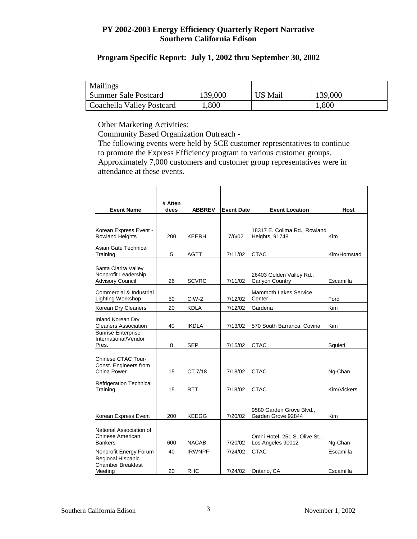# **Program Specific Report: July 1, 2002 thru September 30, 2002**

| <b>Mailings</b>             |         |                |         |
|-----------------------------|---------|----------------|---------|
| <b>Summer Sale Postcard</b> | 139,000 | <b>US Mail</b> | 139,000 |
| Coachella Valley Postcard   | ,800    |                | 1,800   |

Other Marketing Activities:

Community Based Organization Outreach -

The following events were held by SCE customer representatives to continue to promote the Express Efficiency program to various customer groups. Approximately 7,000 customers and customer group representatives were in attendance at these events.

| <b>Event Name</b>                                                       | # Atten<br>dees | <b>ABBREV</b> | <b>Event Date</b> | <b>Event Location</b>                              | <b>Host</b> |
|-------------------------------------------------------------------------|-----------------|---------------|-------------------|----------------------------------------------------|-------------|
|                                                                         |                 |               |                   |                                                    |             |
| Korean Express Event -<br><b>Rowland Heights</b>                        | 200             | <b>KEERH</b>  | 7/6/02            | 18317 E. Colima Rd., Rowland<br>Heights, 91748     | Kim         |
| Asian Gate Technical<br>Training                                        | 5               | AGTT          | 7/11/02           | CTAC                                               | Kim/Homstad |
| Santa Clarita Valley<br>Nonprofit Leadership<br><b>Advisory Council</b> | 26              | <b>SCVRC</b>  | 7/11/02           | 26403 Golden Valley Rd.,<br>Canyon Country         | Escamilla   |
| Commercial & Industrial<br><b>Lighting Workshop</b>                     | 50              | CIW-2         | 7/12/02           | <b>Mammoth Lakes Service</b><br>Center             | Ford        |
| Korean Dry Cleaners                                                     | 20              | <b>KDLA</b>   | 7/12/02           | Gardena                                            | Kim         |
| Inland Korean Dry<br><b>Cleaners Association</b>                        | 40              | <b>IKDLA</b>  | 7/13/02           | 570 South Barranca, Covina                         | Kim         |
| Sunrise Enterprise<br>International/Vendor<br>Pres.                     | 8               | <b>SEP</b>    | 7/15/02           | <b>CTAC</b>                                        | Squieri     |
| Chinese CTAC Tour-<br>Const. Engineers from<br>China Power              | 15              | CT 7/18       | 7/18/02           | <b>CTAC</b>                                        | Ng-Chan     |
| <b>Refrigeration Technical</b><br>Training                              | 15              | <b>RTT</b>    | 7/18/02           | <b>CTAC</b>                                        | Kim/Vickers |
| Korean Express Event                                                    | 200             | <b>KEEGG</b>  | 7/20/02           | 9580 Garden Grove Blvd.,<br>Garden Grove 92844     | Kim         |
| National Association of<br>Chinese American<br><b>Bankers</b>           | 600             | <b>NACAB</b>  | 7/20/02           | Omni Hotel, 251 S. Olive St.,<br>Los Angeles 90012 | Ng-Chan     |
| Nonprofit Energy Forum                                                  | 40              | <b>IRWNPF</b> | 7/24/02           | <b>CTAC</b>                                        | Escamilla   |
| Regional Hispanic<br><b>Chamber Breakfast</b><br>Meeting                | 20              | <b>RHC</b>    | 7/24/02           | Ontario, CA                                        | Escamilla   |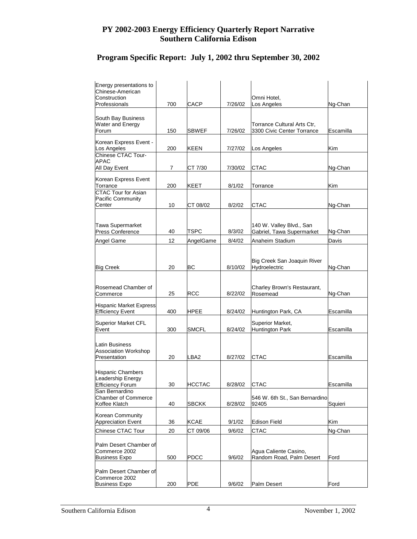# **Program Specific Report: July 1, 2002 thru September 30, 2002**

| Energy presentations to<br>Chinese-American<br>Construction<br>Professionals | 700 | <b>CACP</b>   | 7/26/02 | Omni Hotel,<br>Los Angeles                                | Ng-Chan   |
|------------------------------------------------------------------------------|-----|---------------|---------|-----------------------------------------------------------|-----------|
| South Bay Business<br>Water and Energy<br>Forum                              | 150 | <b>SBWEF</b>  | 7/26/02 | Torrance Cultural Arts Ctr.<br>3300 Civic Center Torrance | Escamilla |
| Korean Express Event -<br>Los Angeles                                        | 200 | KEEN          | 7/27/02 | Los Angeles                                               | Kim       |
| Chinese CTAC Tour-<br><b>APAC</b><br>All Day Event                           | 7   | CT 7/30       | 7/30/02 | <b>CTAC</b>                                               | Ng-Chan   |
| Korean Express Event                                                         |     |               |         |                                                           |           |
| Torrance                                                                     | 200 | KEET          | 8/1/02  | Torrance                                                  | Kim       |
| <b>CTAC Tour for Asian</b><br><b>Pacific Community</b><br>Center             | 10  | CT 08/02      | 8/2/02  | <b>CTAC</b>                                               | Ng-Chan   |
| Tawa Supermarket<br><b>Press Conference</b>                                  | 40  | <b>TSPC</b>   | 8/3/02  | 140 W. Valley Blvd., San<br>Gabriel, Tawa Supermarket     | Ng-Chan   |
| Angel Game                                                                   | 12  | AngelGame     | 8/4/02  | Anaheim Stadium                                           | Davis     |
| <b>Big Creek</b>                                                             | 20  | BC            | 8/10/02 | Big Creek San Joaquin River<br>Hydroelectric              | Ng-Chan   |
| Rosemead Chamber of<br>Commerce                                              | 25  | <b>RCC</b>    | 8/22/02 | Charley Brown's Restaurant,<br>Rosemead                   | Ng-Chan   |
| Hispanic Market Express<br><b>Efficiency Event</b>                           | 400 | <b>HPEE</b>   | 8/24/02 | Huntington Park, CA                                       | Escamilla |
| <b>Superior Market CFL</b><br>Event                                          | 300 | <b>SMCFL</b>  | 8/24/02 | Superior Market,<br><b>Huntington Park</b>                | Escamilla |
| Latin Business<br><b>Association Workshop</b><br>Presentation                | 20  | LBA2          | 8/27/02 | <b>CTAC</b>                                               | Escamilla |
| <b>Hispanic Chambers</b><br>Leadership Energy<br>Efficiency Forum            | 30  | <b>HCCTAC</b> | 8/28/02 | <b>CTAC</b>                                               | Escamilla |
| San Bernardino<br><b>Chamber of Commerce</b><br>Koffee Klatch                | 40  | <b>SBCKK</b>  | 8/28/02 | 546 W. 6th St., San Bernardino<br>92405                   | Squieri   |
| Korean Community<br>Appreciation Event                                       | 36  | <b>KCAE</b>   | 9/1/02  | <b>Edison Field</b>                                       | Kim       |
| Chinese CTAC Tour                                                            | 20  | CT 09/06      | 9/6/02  | <b>CTAC</b>                                               | Ng-Chan   |
| Palm Desert Chamber of<br>Commerce 2002<br><b>Business Expo</b>              | 500 | <b>PDCC</b>   | 9/6/02  | Agua Caliente Casino,<br>Random Road, Palm Desert         | Ford      |
| Palm Desert Chamber of<br>Commerce 2002<br><b>Business Expo</b>              | 200 | <b>PDE</b>    | 9/6/02  | Palm Desert                                               | Ford      |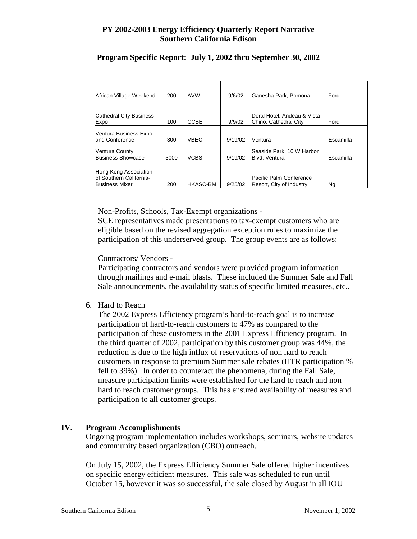| African Village Weekend                  | 200  | AVW              | 9/6/02  | Ganesha Park, Pomona        | Ford      |
|------------------------------------------|------|------------------|---------|-----------------------------|-----------|
|                                          |      |                  |         |                             |           |
|                                          |      |                  |         |                             |           |
| Cathedral City Business                  |      |                  |         | Doral Hotel, Andeau & Vista |           |
| Expo                                     | 100  | <b>CCBE</b>      | 9/9/02  | Chino, Cathedral City       | Ford      |
|                                          |      |                  |         |                             |           |
| Ventura Business Expo<br>land Conference | 300  | VBEC             | 9/19/02 | Ventura                     | Escamilla |
|                                          |      |                  |         |                             |           |
| <b>Ventura County</b>                    |      |                  |         | Seaside Park, 10 W Harbor   |           |
| <b>Business Showcase</b>                 | 3000 | <b>VCBS</b>      | 9/19/02 | Blvd, Ventura               | Escamilla |
|                                          |      |                  |         |                             |           |
| Hong Kong Association                    |      |                  |         |                             |           |
| lof Southern California-                 |      |                  |         | Pacific Palm Conference     |           |
| <b>Business Mixer</b>                    | 200  | <b>IHKASC-BM</b> | 9/25/02 | Resort, City of Industry    | Na        |

# **Program Specific Report: July 1, 2002 thru September 30, 2002**

Non-Profits, Schools, Tax-Exempt organizations -

SCE representatives made presentations to tax-exempt customers who are eligible based on the revised aggregation exception rules to maximize the participation of this underserved group. The group events are as follows:

### Contractors/ Vendors -

Participating contractors and vendors were provided program information through mailings and e-mail blasts. These included the Summer Sale and Fall Sale announcements, the availability status of specific limited measures, etc..

6. Hard to Reach

The 2002 Express Efficiency program's hard-to-reach goal is to increase participation of hard-to-reach customers to 47% as compared to the participation of these customers in the 2001 Express Efficiency program. In the third quarter of 2002, participation by this customer group was 44%, the reduction is due to the high influx of reservations of non hard to reach customers in response to premium Summer sale rebates (HTR participation % fell to 39%). In order to counteract the phenomena, during the Fall Sale, measure participation limits were established for the hard to reach and non hard to reach customer groups. This has ensured availability of measures and participation to all customer groups.

# **IV. Program Accomplishments**

Ongoing program implementation includes workshops, seminars, website updates and community based organization (CBO) outreach.

On July 15, 2002, the Express Efficiency Summer Sale offered higher incentives on specific energy efficient measures. This sale was scheduled to run until October 15, however it was so successful, the sale closed by August in all IOU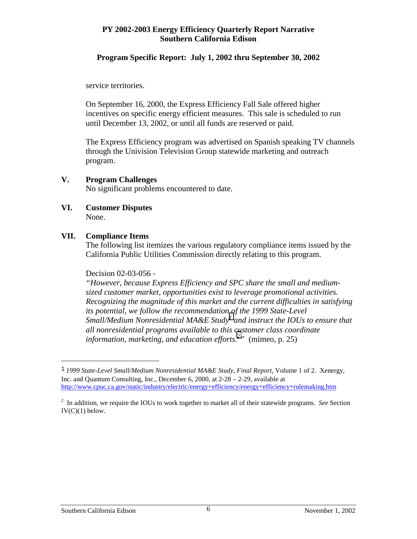### **Program Specific Report: July 1, 2002 thru September 30, 2002**

service territories.

On September 16, 2000, the Express Efficiency Fall Sale offered higher incentives on specific energy efficient measures. This sale is scheduled to run until December 13, 2002, or until all funds are reserved or paid.

The Express Efficiency program was advertised on Spanish speaking TV channels through the Univision Television Group statewide marketing and outreach program.

### **V. Program Challenges**

No significant problems encountered to date.

#### **VI. Customer Disputes**  None.

### **VII. Compliance Items**

The following list itemizes the various regulatory compliance items issued by the California Public Utilities Commission directly relating to this program.

#### Decision 02-03-056 -

*"However, because Express Efficiency and SPC share the small and mediumsized customer market, opportunities exist to leverage promotional activities. Recognizing the magnitude of this market and the current difficulties in satisfying its potential, we follow the recommendation of the 1999 State-Level Small/Medium Nonresidential MA&E Study1 and instruct the IOUs to ensure that all nonresidential programs available to this customer class coordinate information, marketing, and education efforts.2 "* (mimeo, p. 25)

 $\overline{a}$ 

<sup>1</sup> *1999 State-Level Small/Medium Nonresidential MA&E Study, Final Report,* Volume 1 of 2. Xenergy, Inc. and Quantum Consulting, Inc., December 6, 2000, at 2-28 – 2-29, available at http://www.cpuc.ca.gov/static/industry/electric/energy+efficiency/energy+efficiency+rulemaking.htm

<sup>2</sup> In addition, we require the IOUs to work together to market all of their statewide programs. *See* Section  $IV(C)(1)$  below.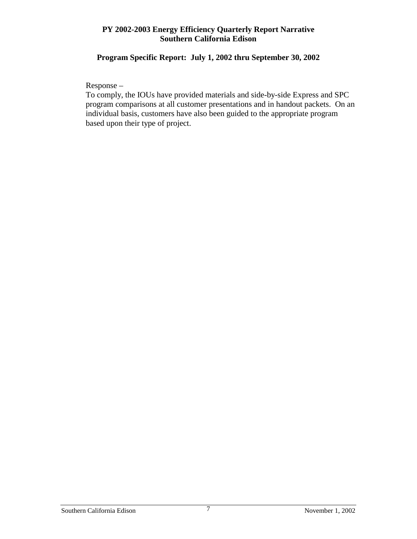# **Program Specific Report: July 1, 2002 thru September 30, 2002**

Response –

To comply, the IOUs have provided materials and side-by-side Express and SPC program comparisons at all customer presentations and in handout packets. On an individual basis, customers have also been guided to the appropriate program based upon their type of project.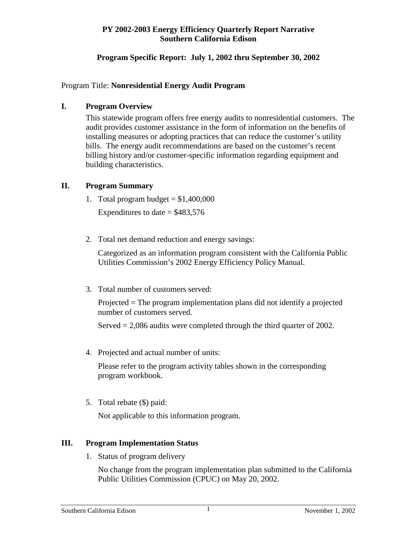### **Program Specific Report: July 1, 2002 thru September 30, 2002**

### Program Title: **Nonresidential Energy Audit Program**

### **I. Program Overview**

This statewide program offers free energy audits to nonresidential customers. The audit provides customer assistance in the form of information on the benefits of installing measures or adopting practices that can reduce the customer's utility bills. The energy audit recommendations are based on the customer's recent billing history and/or customer-specific information regarding equipment and building characteristics.

### **II. Program Summary**

1. Total program budget  $= $1,400,000$ 

Expenditures to date  $=$  \$483,576

2. Total net demand reduction and energy savings:

Categorized as an information program consistent with the California Public Utilities Commission's 2002 Energy Efficiency Policy Manual.

3. Total number of customers served:

Projected = The program implementation plans did not identify a projected number of customers served.

Served = 2,086 audits were completed through the third quarter of 2002.

4. Projected and actual number of units:

Please refer to the program activity tables shown in the corresponding program workbook.

5. Total rebate (\$) paid:

Not applicable to this information program.

### **III. Program Implementation Status**

1. Status of program delivery

No change from the program implementation plan submitted to the California Public Utilities Commission (CPUC) on May 20, 2002.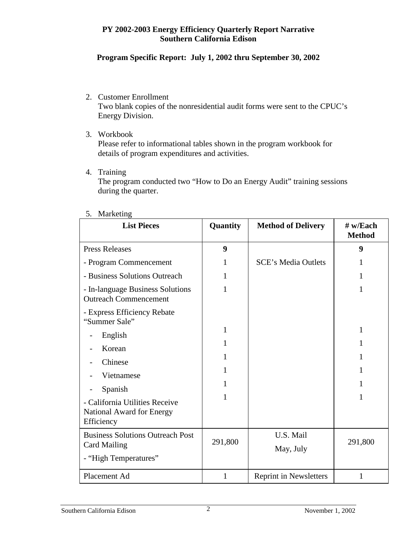# **Program Specific Report: July 1, 2002 thru September 30, 2002**

2. Customer Enrollment

Two blank copies of the nonresidential audit forms were sent to the CPUC's Energy Division.

3. Workbook

Please refer to informational tables shown in the program workbook for details of program expenditures and activities.

4. Training

The program conducted two "How to Do an Energy Audit" training sessions during the quarter.

| э. манеши                                                                               |          |                               |                           |
|-----------------------------------------------------------------------------------------|----------|-------------------------------|---------------------------|
| <b>List Pieces</b>                                                                      | Quantity | <b>Method of Delivery</b>     | # w/Each<br><b>Method</b> |
| <b>Press Releases</b>                                                                   | 9        |                               | 9                         |
| - Program Commencement                                                                  | 1        | <b>SCE's Media Outlets</b>    | 1                         |
| - Business Solutions Outreach                                                           |          |                               | 1                         |
| - In-language Business Solutions<br><b>Outreach Commencement</b>                        |          |                               | 1                         |
| - Express Efficiency Rebate<br>"Summer Sale"                                            |          |                               |                           |
| English                                                                                 | 1        |                               | $\mathbf{1}$              |
| Korean                                                                                  | 1        |                               | 1                         |
| Chinese                                                                                 |          |                               | 1                         |
| Vietnamese                                                                              | 1        |                               | 1                         |
| Spanish                                                                                 |          |                               | 1                         |
| - California Utilities Receive<br>National Award for Energy<br>Efficiency               |          |                               | 1                         |
| <b>Business Solutions Outreach Post</b><br><b>Card Mailing</b><br>- "High Temperatures" | 291,800  | U.S. Mail<br>May, July        | 291,800                   |
| Placement Ad                                                                            | 1        | <b>Reprint in Newsletters</b> | 1                         |

5. Marketing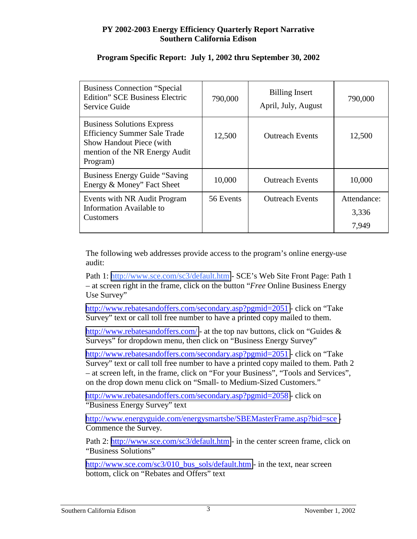| <b>Business Connection "Special</b><br><b>Edition</b> " SCE Business Electric<br>Service Guide                                                     | 790,000   | <b>Billing Insert</b><br>April, July, August | 790,000     |
|----------------------------------------------------------------------------------------------------------------------------------------------------|-----------|----------------------------------------------|-------------|
| <b>Business Solutions Express</b><br><b>Efficiency Summer Sale Trade</b><br>Show Handout Piece (with<br>mention of the NR Energy Audit<br>Program) | 12,500    | <b>Outreach Events</b>                       | 12,500      |
| <b>Business Energy Guide "Saving"</b><br>Energy & Money" Fact Sheet                                                                                | 10,000    | <b>Outreach Events</b>                       | 10,000      |
| Events with NR Audit Program                                                                                                                       | 56 Events | <b>Outreach Events</b>                       | Attendance: |
| Information Available to<br><b>Customers</b>                                                                                                       |           |                                              | 3,336       |
|                                                                                                                                                    |           |                                              | 7,949       |

# **Program Specific Report: July 1, 2002 thru September 30, 2002**

The following web addresses provide access to the program's online energy-use audit:

Path 1: <http://www.sce.com/sc3/default.htm>- SCE's Web Site Front Page: Path 1 – at screen right in the frame, click on the button "*Free* Online Business Energy Use Survey"

<http://www.rebatesandoffers.com/secondary.asp?pgmid=2051>- click on "Take Survey" text or call toll free number to have a printed copy mailed to them.

<http://www.rebatesandoffers.com/>- at the top nav buttons, click on "Guides & Surveys" for dropdown menu, then click on "Business Energy Survey"

<http://www.rebatesandoffers.com/secondary.asp?pgmid=2051>- click on "Take Survey" text or call toll free number to have a printed copy mailed to them. Path 2 – at screen left, in the frame, click on "For your Business", "Tools and Services", on the drop down menu click on "Small- to Medium-Sized Customers."

<http://www.rebatesandoffers.com/secondary.asp?pgmid=2058>- click on "Business Energy Survey" text

[http://www.energyguide.com/energysmartsbe/SBEMasterFrame.asp?bid=sce -](http://www.energyguide.com/energysmartsbe/SBEMasterFrame.asp?bid=sce) Commence the Survey.

Path 2: <http://www.sce.com/sc3/default.htm>- in the center screen frame, click on "Business Solutions"

[http://www.sce.com/sc3/010\\_bus\\_sols/default.htm](http://www.sce.com/sc3/010_bus_sols/default.htm) - in the text, near screen bottom, click on "Rebates and Offers" text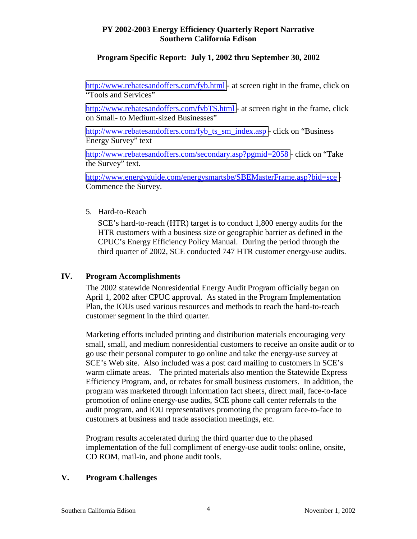## **Program Specific Report: July 1, 2002 thru September 30, 2002**

<http://www.rebatesandoffers.com/fyb.html>- at screen right in the frame, click on "Tools and Services"

<http://www.rebatesandoffers.com/fybTS.html>- at screen right in the frame, click on Small- to Medium-sized Businesses"

[http://www.rebatesandoffers.com/fyb\\_ts\\_sm\\_index.asp](http://www.rebatesandoffers.com/fyb_ts_sm_index.asp) - click on "Business Energy Survey" text

<http://www.rebatesandoffers.com/secondary.asp?pgmid=2058>- click on "Take the Survey" text.

[http://www.energyguide.com/energysmartsbe/SBEMasterFrame.asp?bid=sce -](http://www.energyguide.com/energysmartsbe/SBEMasterFrame.asp?bid=sce) Commence the Survey.

5. Hard-to-Reach

SCE's hard-to-reach (HTR) target is to conduct 1,800 energy audits for the HTR customers with a business size or geographic barrier as defined in the CPUC's Energy Efficiency Policy Manual. During the period through the third quarter of 2002, SCE conducted 747 HTR customer energy-use audits.

## **IV. Program Accomplishments**

The 2002 statewide Nonresidential Energy Audit Program officially began on April 1, 2002 after CPUC approval. As stated in the Program Implementation Plan, the IOUs used various resources and methods to reach the hard-to-reach customer segment in the third quarter.

Marketing efforts included printing and distribution materials encouraging very small, small, and medium nonresidential customers to receive an onsite audit or to go use their personal computer to go online and take the energy-use survey at SCE's Web site. Also included was a post card mailing to customers in SCE's warm climate areas. The printed materials also mention the Statewide Express Efficiency Program, and, or rebates for small business customers. In addition, the program was marketed through information fact sheets, direct mail, face-to-face promotion of online energy-use audits, SCE phone call center referrals to the audit program, and IOU representatives promoting the program face-to-face to customers at business and trade association meetings, etc.

Program results accelerated during the third quarter due to the phased implementation of the full compliment of energy-use audit tools: online, onsite, CD ROM, mail-in, and phone audit tools.

## **V. Program Challenges**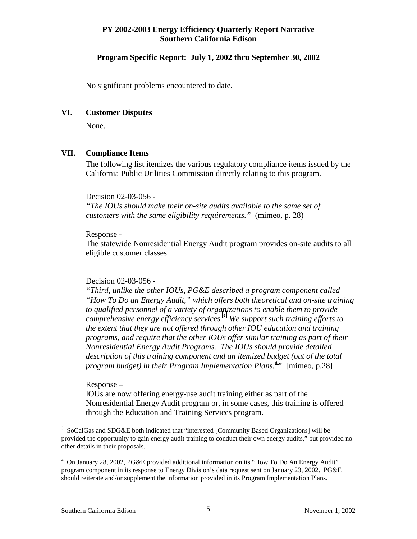## **Program Specific Report: July 1, 2002 thru September 30, 2002**

No significant problems encountered to date.

#### **VI. Customer Disputes**

None.

## **VII. Compliance Items**

The following list itemizes the various regulatory compliance items issued by the California Public Utilities Commission directly relating to this program.

#### Decision 02-03-056 -

*"The IOUs should make their on-site audits available to the same set of customers with the same eligibility requirements."* (mimeo, p. 28)

#### Response -

The statewide Nonresidential Energy Audit program provides on-site audits to all eligible customer classes.

## Decision 02-03-056 -

*"Third, unlike the other IOUs, PG&E described a program component called "How To Do an Energy Audit," which offers both theoretical and on-site training to qualified personnel of a variety of organizations to enable them to provide comprehensive energy efficiency services.3 We support such training efforts to the extent that they are not offered through other IOU education and training programs, and require that the other IOUs offer similar training as part of their Nonresidential Energy Audit Programs. The IOUs should provide detailed description of this training component and an itemized budget (out of the total program budget) in their Program Implementation Plans.4 "* [mimeo, p.28]

## Response –

<u>.</u>

IOUs are now offering energy-use audit training either as part of the Nonresidential Energy Audit program or, in some cases, this training is offered through the Education and Training Services program.

<sup>&</sup>lt;sup>3</sup> SoCalGas and SDG&E both indicated that "interested [Community Based Organizations] will be provided the opportunity to gain energy audit training to conduct their own energy audits," but provided no other details in their proposals.

<sup>&</sup>lt;sup>4</sup> On January 28, 2002, PG&E provided additional information on its "How To Do An Energy Audit" program component in its response to Energy Division's data request sent on January 23, 2002. PG&E should reiterate and/or supplement the information provided in its Program Implementation Plans.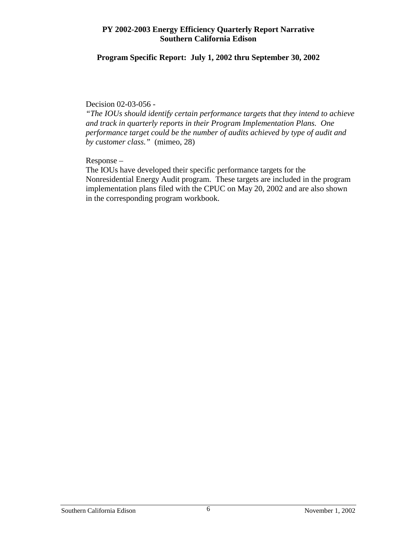**Program Specific Report: July 1, 2002 thru September 30, 2002** 

#### Decision 02-03-056 -

*"The IOUs should identify certain performance targets that they intend to achieve and track in quarterly reports in their Program Implementation Plans. One performance target could be the number of audits achieved by type of audit and by customer class."* (mimeo, 28)

Response –

The IOUs have developed their specific performance targets for the Nonresidential Energy Audit program. These targets are included in the program implementation plans filed with the CPUC on May 20, 2002 and are also shown in the corresponding program workbook.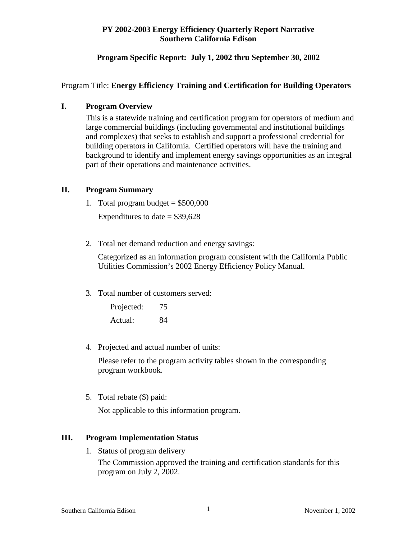# **Program Specific Report: July 1, 2002 thru September 30, 2002**

# Program Title: **Energy Efficiency Training and Certification for Building Operators**

## **I. Program Overview**

This is a statewide training and certification program for operators of medium and large commercial buildings (including governmental and institutional buildings and complexes) that seeks to establish and support a professional credential for building operators in California. Certified operators will have the training and background to identify and implement energy savings opportunities as an integral part of their operations and maintenance activities.

## **II. Program Summary**

1. Total program budget  $= $500,000$ 

Expenditures to date  $= $39,628$ 

2. Total net demand reduction and energy savings:

Categorized as an information program consistent with the California Public Utilities Commission's 2002 Energy Efficiency Policy Manual.

3. Total number of customers served:

| Projected: | 75 |
|------------|----|
| Actual:    | 84 |

4. Projected and actual number of units:

Please refer to the program activity tables shown in the corresponding program workbook.

5. Total rebate (\$) paid:

Not applicable to this information program.

## **III. Program Implementation Status**

1. Status of program delivery The Commission approved the training and certification standards for this program on July 2, 2002.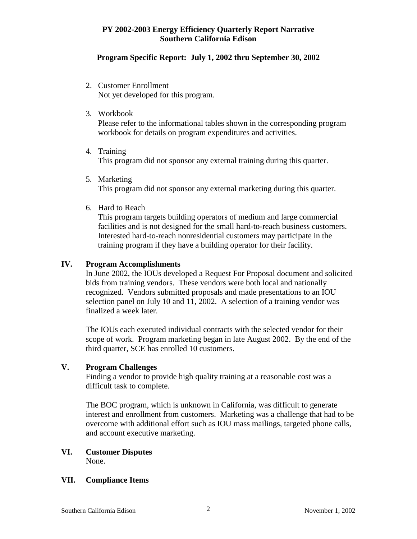## **Program Specific Report: July 1, 2002 thru September 30, 2002**

- 2. Customer Enrollment Not yet developed for this program.
- 3. Workbook

Please refer to the informational tables shown in the corresponding program workbook for details on program expenditures and activities.

- 4. Training This program did not sponsor any external training during this quarter.
- 5. Marketing This program did not sponsor any external marketing during this quarter.
- 6. Hard to Reach

This program targets building operators of medium and large commercial facilities and is not designed for the small hard-to-reach business customers. Interested hard-to-reach nonresidential customers may participate in the training program if they have a building operator for their facility.

## **IV. Program Accomplishments**

In June 2002, the IOUs developed a Request For Proposal document and solicited bids from training vendors. These vendors were both local and nationally recognized. Vendors submitted proposals and made presentations to an IOU selection panel on July 10 and 11, 2002. A selection of a training vendor was finalized a week later.

The IOUs each executed individual contracts with the selected vendor for their scope of work. Program marketing began in late August 2002. By the end of the third quarter, SCE has enrolled 10 customers.

## **V. Program Challenges**

Finding a vendor to provide high quality training at a reasonable cost was a difficult task to complete.

The BOC program, which is unknown in California, was difficult to generate interest and enrollment from customers. Marketing was a challenge that had to be overcome with additional effort such as IOU mass mailings, targeted phone calls, and account executive marketing.

#### **VI. Customer Disputes**  None.

## **VII. Compliance Items**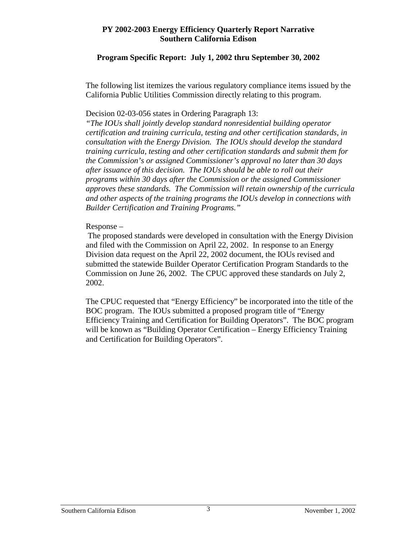#### **Program Specific Report: July 1, 2002 thru September 30, 2002**

The following list itemizes the various regulatory compliance items issued by the California Public Utilities Commission directly relating to this program.

## Decision 02-03-056 states in Ordering Paragraph 13:

*"The IOUs shall jointly develop standard nonresidential building operator certification and training curricula, testing and other certification standards, in consultation with the Energy Division. The IOUs should develop the standard training curricula, testing and other certification standards and submit them for the Commission's or assigned Commissioner's approval no later than 30 days after issuance of this decision. The IOUs should be able to roll out their programs within 30 days after the Commission or the assigned Commissioner approves these standards. The Commission will retain ownership of the curricula and other aspects of the training programs the IOUs develop in connections with Builder Certification and Training Programs."* 

#### Response –

 The proposed standards were developed in consultation with the Energy Division and filed with the Commission on April 22, 2002. In response to an Energy Division data request on the April 22, 2002 document, the IOUs revised and submitted the statewide Builder Operator Certification Program Standards to the Commission on June 26, 2002. The CPUC approved these standards on July 2, 2002.

The CPUC requested that "Energy Efficiency" be incorporated into the title of the BOC program. The IOUs submitted a proposed program title of "Energy Efficiency Training and Certification for Building Operators". The BOC program will be known as "Building Operator Certification – Energy Efficiency Training and Certification for Building Operators".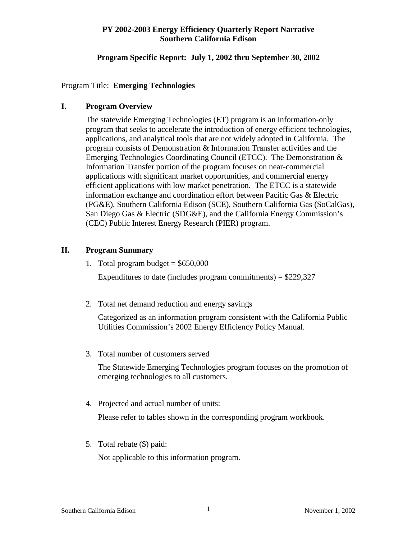## **Program Specific Report: July 1, 2002 thru September 30, 2002**

#### Program Title: **Emerging Technologies**

#### **I. Program Overview**

The statewide Emerging Technologies (ET) program is an information-only program that seeks to accelerate the introduction of energy efficient technologies, applications, and analytical tools that are not widely adopted in California. The program consists of Demonstration & Information Transfer activities and the Emerging Technologies Coordinating Council (ETCC). The Demonstration & Information Transfer portion of the program focuses on near-commercial applications with significant market opportunities, and commercial energy efficient applications with low market penetration. The ETCC is a statewide information exchange and coordination effort between Pacific Gas & Electric (PG&E), Southern California Edison (SCE), Southern California Gas (SoCalGas), San Diego Gas & Electric (SDG&E), and the California Energy Commission's (CEC) Public Interest Energy Research (PIER) program.

#### **II. Program Summary**

1. Total program budget  $= $650,000$ 

Expenditures to date (includes program commitments) =  $$229,327$ 

2. Total net demand reduction and energy savings

Categorized as an information program consistent with the California Public Utilities Commission's 2002 Energy Efficiency Policy Manual.

3. Total number of customers served

The Statewide Emerging Technologies program focuses on the promotion of emerging technologies to all customers.

4. Projected and actual number of units:

Please refer to tables shown in the corresponding program workbook.

5. Total rebate (\$) paid:

Not applicable to this information program.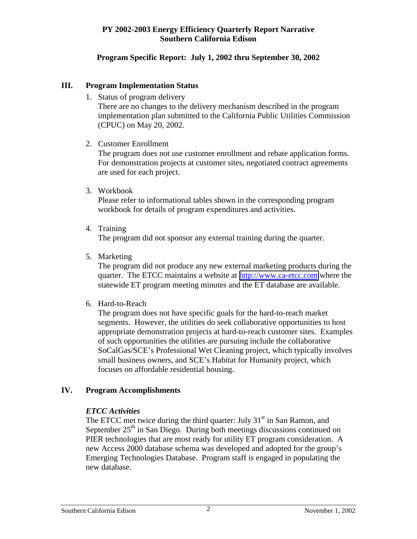# **Program Specific Report: July 1, 2002 thru September 30, 2002**

## **III. Program Implementation Status**

1. Status of program delivery

There are no changes to the delivery mechanism described in the program implementation plan submitted to the California Public Utilities Commission (CPUC) on May 20, 2002.

2. Customer Enrollment

The program does not use customer enrollment and rebate application forms. For demonstration projects at customer sites, negotiated contract agreements are used for each project.

3. Workbook

Please refer to informational tables shown in the corresponding program workbook for details of program expenditures and activities.

4. Training

The program did not sponsor any external training during the quarter.

5. Marketing

The program did not produce any new external marketing products during the quarter. The ETCC maintains a website at [http://www.ca-etcc.com](http://www.ca-etcc.com/) where the statewide ET program meeting minutes and the ET database are available.

6. Hard-to-Reach

The program does not have specific goals for the hard-to-reach market segments. However, the utilities do seek collaborative opportunities to host appropriate demonstration projects at hard-to-reach customer sites. Examples of such opportunities the utilities are pursuing include the collaborative SoCalGas/SCE's Professional Wet Cleaning project, which typically involves small business owners, and SCE's Habitat for Humanity project, which focuses on affordable residential housing.

# **IV. Program Accomplishments**

## *ETCC Activities*

The ETCC met twice during the third quarter: July  $31<sup>st</sup>$  in San Ramon, and September  $25<sup>th</sup>$  in San Diego. During both meetings discussions continued on PIER technologies that are most ready for utility ET program consideration. A new Access 2000 database schema was developed and adopted for the group's Emerging Technologies Database. Program staff is engaged in populating the new database.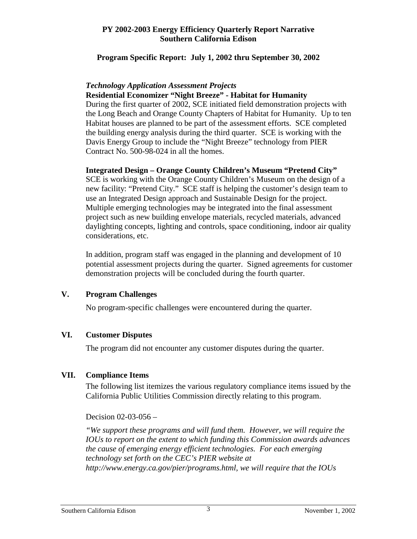## **Program Specific Report: July 1, 2002 thru September 30, 2002**

## *Technology Application Assessment Projects*

#### **Residential Economizer "Night Breeze" - Habitat for Humanity**

During the first quarter of 2002, SCE initiated field demonstration projects with the Long Beach and Orange County Chapters of Habitat for Humanity. Up to ten Habitat houses are planned to be part of the assessment efforts. SCE completed the building energy analysis during the third quarter. SCE is working with the Davis Energy Group to include the "Night Breeze" technology from PIER Contract No. 500-98-024 in all the homes.

#### **Integrated Design – Orange County Children's Museum "Pretend City"**

SCE is working with the Orange County Children's Museum on the design of a new facility: "Pretend City." SCE staff is helping the customer's design team to use an Integrated Design approach and Sustainable Design for the project. Multiple emerging technologies may be integrated into the final assessment project such as new building envelope materials, recycled materials, advanced daylighting concepts, lighting and controls, space conditioning, indoor air quality considerations, etc.

In addition, program staff was engaged in the planning and development of 10 potential assessment projects during the quarter. Signed agreements for customer demonstration projects will be concluded during the fourth quarter.

#### **V. Program Challenges**

No program-specific challenges were encountered during the quarter.

#### **VI. Customer Disputes**

The program did not encounter any customer disputes during the quarter.

## **VII. Compliance Items**

The following list itemizes the various regulatory compliance items issued by the California Public Utilities Commission directly relating to this program.

Decision 02-03-056 –

*"We support these programs and will fund them. However, we will require the IOUs to report on the extent to which funding this Commission awards advances the cause of emerging energy efficient technologies. For each emerging technology set forth on the CEC's PIER website at http://www.energy.ca.gov/pier/programs.html, we will require that the IOUs*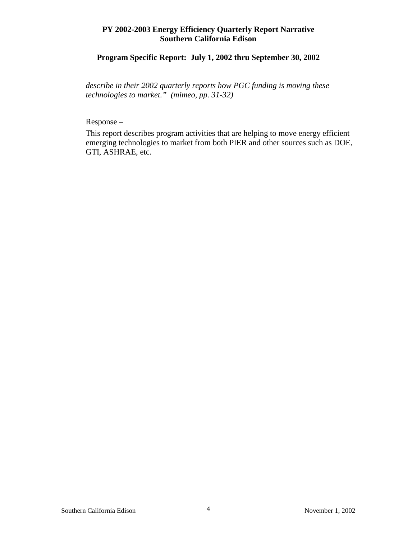# **Program Specific Report: July 1, 2002 thru September 30, 2002**

*describe in their 2002 quarterly reports how PGC funding is moving these technologies to market." (mimeo, pp. 31-32)* 

## Response –

This report describes program activities that are helping to move energy efficient emerging technologies to market from both PIER and other sources such as DOE, GTI, ASHRAE, etc.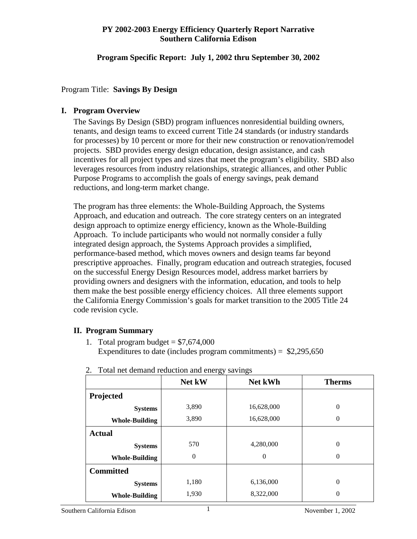## **Program Specific Report: July 1, 2002 thru September 30, 2002**

## Program Title: **Savings By Design**

## **I. Program Overview**

The Savings By Design (SBD) program influences nonresidential building owners, tenants, and design teams to exceed current Title 24 standards (or industry standards for processes) by 10 percent or more for their new construction or renovation/remodel projects. SBD provides energy design education, design assistance, and cash incentives for all project types and sizes that meet the program's eligibility. SBD also leverages resources from industry relationships, strategic alliances, and other Public Purpose Programs to accomplish the goals of energy savings, peak demand reductions, and long-term market change.

The program has three elements: the Whole-Building Approach, the Systems Approach, and education and outreach. The core strategy centers on an integrated design approach to optimize energy efficiency, known as the Whole-Building Approach. To include participants who would not normally consider a fully integrated design approach, the Systems Approach provides a simplified, performance-based method, which moves owners and design teams far beyond prescriptive approaches. Finally, program education and outreach strategies, focused on the successful Energy Design Resources model, address market barriers by providing owners and designers with the information, education, and tools to help them make the best possible energy efficiency choices. All three elements support the California Energy Commission's goals for market transition to the 2005 Title 24 code revision cycle.

## **II. Program Summary**

1. Total program budget  $= $7,674,000$ Expenditures to date (includes program commitments) =  $$2,295,650$ 

|                       | Net kW | Net kWh    | <b>Therms</b>  |
|-----------------------|--------|------------|----------------|
| Projected             |        |            |                |
| <b>Systems</b>        | 3,890  | 16,628,000 | $\overline{0}$ |
| <b>Whole-Building</b> | 3,890  | 16,628,000 | $\theta$       |
| <b>Actual</b>         |        |            |                |
| <b>Systems</b>        | 570    | 4,280,000  | $\overline{0}$ |
| <b>Whole-Building</b> | 0      | $\theta$   | $\theta$       |
| <b>Committed</b>      |        |            |                |
| <b>Systems</b>        | 1,180  | 6,136,000  | $\overline{0}$ |
| <b>Whole-Building</b> | 1,930  | 8,322,000  | $\overline{0}$ |

2. Total net demand reduction and energy savings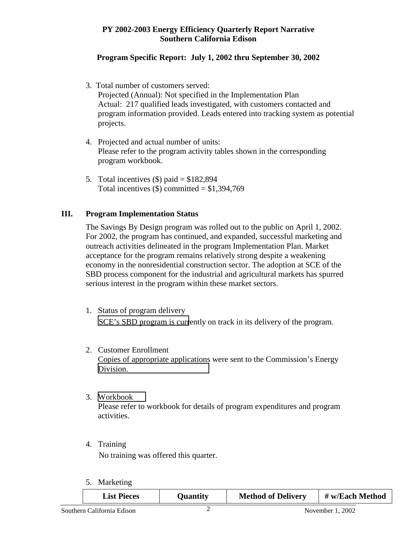## **Program Specific Report: July 1, 2002 thru September 30, 2002**

- 3. Total number of customers served: Projected (Annual): Not specified in the Implementation Plan Actual: 217 qualified leads investigated, with customers contacted and program information provided. Leads entered into tracking system as potential projects.
- 4. Projected and actual number of units: Please refer to the program activity tables shown in the corresponding program workbook.
- 5. Total incentives  $(\$)$  paid = \$182,894 Total incentives  $(\$)$  committed = \$1,394,769

#### **III. Program Implementation Status**

The Savings By Design program was rolled out to the public on April 1, 2002. For 2002, the program has continued, and expanded, successful marketing and outreach activities delineated in the program Implementation Plan. Market acceptance for the program remains relatively strong despite a weakening economy in the nonresidential construction sector. The adoption at SCE of the SBD process component for the industrial and agricultural markets has spurred serious interest in the program within these market sectors.

- 1. Status of program delivery [SCE's SBD program is curr](http://www.savingsbydesign.com/)ently on track in its delivery of the program.
- 2. Customer Enrollment Copies of appropriate applications were sent to the Commission's Energy [Division.](http://www.energydesignresources.com/)
- 3. [Workbook](http://www.pge.com/)

Please refer to workbook for details of program expenditures and program activities.

4. Training

No training was offered this quarter.

5. Marketing

| <b>List Pieces</b>         | <b>Quantity</b> | <b>Method of Delivery</b> | # w/Each Method        |
|----------------------------|-----------------|---------------------------|------------------------|
| Southern California Edison |                 |                           | 2002<br>November $1.2$ |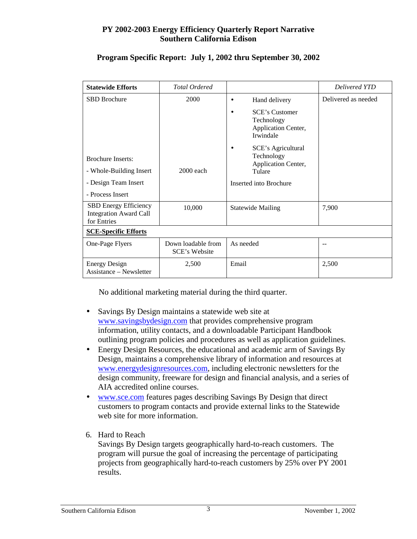| <b>Statewide Efforts</b>                                              | <b>Total Ordered</b>                       |                                                                         | Delivered YTD       |
|-----------------------------------------------------------------------|--------------------------------------------|-------------------------------------------------------------------------|---------------------|
| <b>SBD</b> Brochure                                                   | 2000                                       | Hand delivery                                                           | Delivered as needed |
|                                                                       |                                            | <b>SCE's Customer</b><br>Technology<br>Application Center,<br>Irwindale |                     |
|                                                                       |                                            | <b>SCE's Agricultural</b><br>Technology                                 |                     |
| <b>Brochure Inserts:</b>                                              |                                            | Application Center,                                                     |                     |
| - Whole-Building Insert                                               | $2000$ each                                | Tulare                                                                  |                     |
| - Design Team Insert                                                  |                                            | Inserted into Brochure                                                  |                     |
| - Process Insert                                                      |                                            |                                                                         |                     |
| SBD Energy Efficiency<br><b>Integration Award Call</b><br>for Entries | 10,000                                     | <b>Statewide Mailing</b>                                                | 7,900               |
| <b>SCE-Specific Efforts</b>                                           |                                            |                                                                         |                     |
| One-Page Flyers                                                       | Down loadable from<br><b>SCE's Website</b> | As needed                                                               |                     |
| <b>Energy Design</b><br>Assistance – Newsletter                       | 2,500                                      | Email                                                                   | 2,500               |

# **Program Specific Report: July 1, 2002 thru September 30, 2002**

No additional marketing material during the third quarter.

- Savings By Design maintains a statewide web site at www.savingsbydesign.com that provides comprehensive program information, utility contacts, and a downloadable Participant Handbook outlining program policies and procedures as well as application guidelines.
- Energy Design Resources, the educational and academic arm of Savings By Design, maintains a comprehensive library of information and resources at www.energydesignresources.com, including electronic newsletters for the design community, freeware for design and financial analysis, and a series of AIA accredited online courses.
- www.sce.com features pages describing Savings By Design that direct customers to program contacts and provide external links to the Statewide web site for more information.
- 6. Hard to Reach

Savings By Design targets geographically hard-to-reach customers. The program will pursue the goal of increasing the percentage of participating projects from geographically hard-to-reach customers by 25% over PY 2001 results.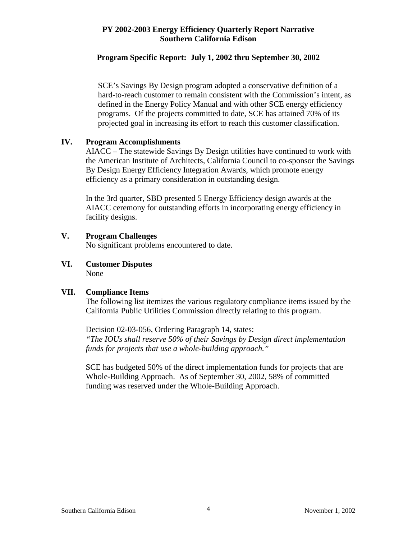## **Program Specific Report: July 1, 2002 thru September 30, 2002**

SCE's Savings By Design program adopted a conservative definition of a hard-to-reach customer to remain consistent with the Commission's intent, as defined in the Energy Policy Manual and with other SCE energy efficiency programs. Of the projects committed to date, SCE has attained 70% of its projected goal in increasing its effort to reach this customer classification.

#### **IV. Program Accomplishments**

AIACC – The statewide Savings By Design utilities have continued to work with the American Institute of Architects, California Council to co-sponsor the Savings By Design Energy Efficiency Integration Awards, which promote energy efficiency as a primary consideration in outstanding design.

In the 3rd quarter, SBD presented 5 Energy Efficiency design awards at the AIACC ceremony for outstanding efforts in incorporating energy efficiency in facility designs.

#### **V. Program Challenges**

No significant problems encountered to date.

**VI. Customer Disputes**  None

#### **VII. Compliance Items**

The following list itemizes the various regulatory compliance items issued by the California Public Utilities Commission directly relating to this program.

Decision 02-03-056, Ordering Paragraph 14, states: *"The IOUs shall reserve 50% of their Savings by Design direct implementation funds for projects that use a whole-building approach."* 

SCE has budgeted 50% of the direct implementation funds for projects that are Whole-Building Approach. As of September 30, 2002, 58% of committed funding was reserved under the Whole-Building Approach.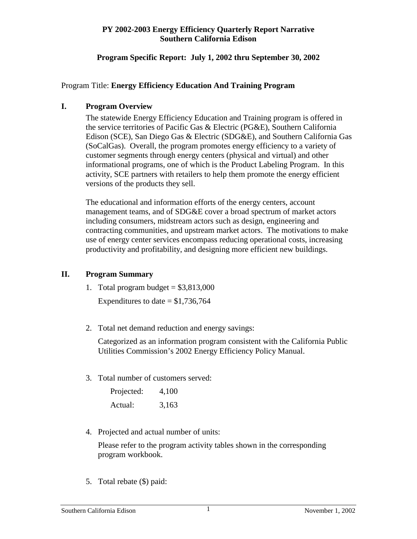# **Program Specific Report: July 1, 2002 thru September 30, 2002**

# Program Title: **Energy Efficiency Education And Training Program**

# **I. Program Overview**

 The statewide Energy Efficiency Education and Training program is offered in the service territories of Pacific Gas & Electric (PG&E), Southern California Edison (SCE), San Diego Gas & Electric (SDG&E), and Southern California Gas (SoCalGas). Overall, the program promotes energy efficiency to a variety of customer segments through energy centers (physical and virtual) and other informational programs, one of which is the Product Labeling Program. In this activity, SCE partners with retailers to help them promote the energy efficient versions of the products they sell.

 The educational and information efforts of the energy centers, account management teams, and of SDG&E cover a broad spectrum of market actors including consumers, midstream actors such as design, engineering and contracting communities, and upstream market actors. The motivations to make use of energy center services encompass reducing operational costs, increasing productivity and profitability, and designing more efficient new buildings.

## **II. Program Summary**

- 1. Total program budget =  $$3,813,000$ Expenditures to date  $= $1,736,764$
- 2. Total net demand reduction and energy savings:

Categorized as an information program consistent with the California Public Utilities Commission's 2002 Energy Efficiency Policy Manual.

3. Total number of customers served:

| Projected: | 4,100 |
|------------|-------|
| Actual:    | 3,163 |

4. Projected and actual number of units:

Please refer to the program activity tables shown in the corresponding program workbook.

5. Total rebate (\$) paid: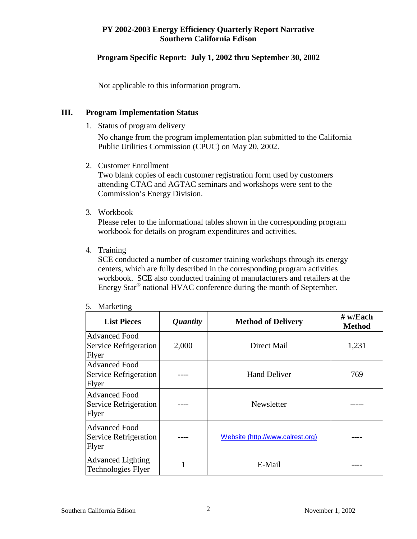# **Program Specific Report: July 1, 2002 thru September 30, 2002**

Not applicable to this information program.

# **III. Program Implementation Status**

1. Status of program delivery

No change from the program implementation plan submitted to the California Public Utilities Commission (CPUC) on May 20, 2002.

2. Customer Enrollment

Two blank copies of each customer registration form used by customers attending CTAC and AGTAC seminars and workshops were sent to the Commission's Energy Division.

3. Workbook

Please refer to the informational tables shown in the corresponding program workbook for details on program expenditures and activities.

4. Training

SCE conducted a number of customer training workshops through its energy centers, which are fully described in the corresponding program activities workbook. SCE also conducted training of manufacturers and retailers at the Energy Star® national HVAC conference during the month of September.

| <b>NIATKELING</b> |
|-------------------|
|                   |

| <b>List Pieces</b>                                     | <i><b>Quantity</b></i> | <b>Method of Delivery</b>        | $#$ w/Each<br><b>Method</b> |
|--------------------------------------------------------|------------------------|----------------------------------|-----------------------------|
| <b>Advanced Food</b><br>Service Refrigeration<br>Flyer | 2,000                  | Direct Mail                      | 1,231                       |
| <b>Advanced Food</b><br>Service Refrigeration<br>Flyer |                        | <b>Hand Deliver</b>              | 769                         |
| Advanced Food<br>Service Refrigeration<br>Flyer        |                        | <b>Newsletter</b>                |                             |
| Advanced Food<br>Service Refrigeration<br>Flyer        |                        | Website (http://www.calrest.org) |                             |
| <b>Advanced Lighting</b><br><b>Technologies Flyer</b>  |                        | E-Mail                           |                             |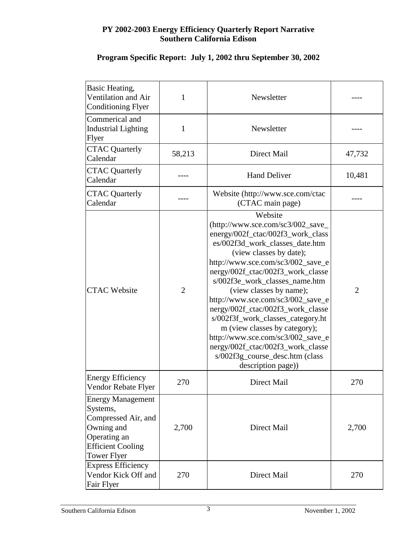# **Program Specific Report: July 1, 2002 thru September 30, 2002**

| Basic Heating,<br>Ventilation and Air<br><b>Conditioning Flyer</b>                                                                          | 1              | Newsletter                                                                                                                                                                                                                                                                                                                                                                                                                                                                                                                                                                |                |
|---------------------------------------------------------------------------------------------------------------------------------------------|----------------|---------------------------------------------------------------------------------------------------------------------------------------------------------------------------------------------------------------------------------------------------------------------------------------------------------------------------------------------------------------------------------------------------------------------------------------------------------------------------------------------------------------------------------------------------------------------------|----------------|
| Commerical and<br><b>Industrial Lighting</b><br>Flyer                                                                                       | $\mathbf{1}$   | Newsletter                                                                                                                                                                                                                                                                                                                                                                                                                                                                                                                                                                |                |
| <b>CTAC Quarterly</b><br>Calendar                                                                                                           | 58,213         | Direct Mail                                                                                                                                                                                                                                                                                                                                                                                                                                                                                                                                                               | 47,732         |
| <b>CTAC Quarterly</b><br>Calendar                                                                                                           |                | <b>Hand Deliver</b>                                                                                                                                                                                                                                                                                                                                                                                                                                                                                                                                                       | 10,481         |
| <b>CTAC Quarterly</b><br>Calendar                                                                                                           |                | Website (http://www.sce.com/ctac<br>(CTAC main page)                                                                                                                                                                                                                                                                                                                                                                                                                                                                                                                      |                |
| <b>CTAC Website</b>                                                                                                                         | $\overline{2}$ | Website<br>(http://www.sce.com/sc3/002_save_<br>energy/002f_ctac/002f3_work_class<br>es/002f3d_work_classes_date.htm<br>(view classes by date);<br>http://www.sce.com/sc3/002_save_e<br>nergy/002f_ctac/002f3_work_classe<br>s/002f3e_work_classes_name.htm<br>(view classes by name);<br>http://www.sce.com/sc3/002_save_e<br>nergy/002f_ctac/002f3_work_classe<br>s/002f3f_work_classes_category.ht<br>m (view classes by category);<br>http://www.sce.com/sc3/002_save_e<br>nergy/002f_ctac/002f3_work_classe<br>s/002f3g_course_desc.htm (class<br>description page)) | $\overline{2}$ |
| <b>Energy Efficiency</b><br>Vendor Rebate Flyer                                                                                             | 270            | Direct Mail                                                                                                                                                                                                                                                                                                                                                                                                                                                                                                                                                               | 270            |
| <b>Energy Management</b><br>Systems,<br>Compressed Air, and<br>Owning and<br>Operating an<br><b>Efficient Cooling</b><br><b>Tower Flyer</b> | 2,700          | Direct Mail                                                                                                                                                                                                                                                                                                                                                                                                                                                                                                                                                               | 2,700          |
| <b>Express Efficiency</b><br>Vendor Kick Off and<br>Fair Flyer                                                                              | 270            | Direct Mail                                                                                                                                                                                                                                                                                                                                                                                                                                                                                                                                                               | 270            |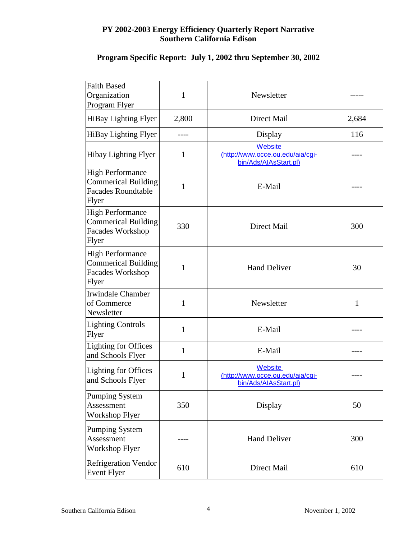# **Program Specific Report: July 1, 2002 thru September 30, 2002**

| <b>Faith Based</b><br>Organization<br>Program Flyer                                         | $\mathbf{1}$ | Newsletter                                                           |       |
|---------------------------------------------------------------------------------------------|--------------|----------------------------------------------------------------------|-------|
| HiBay Lighting Flyer                                                                        | 2,800        | Direct Mail                                                          | 2,684 |
| HiBay Lighting Flyer                                                                        |              | Display                                                              | 116   |
| Hibay Lighting Flyer                                                                        | 1            | Website<br>(http://www.occe.ou.edu/aia/cgi-<br>bin/Ads/AIAsStart.pl) |       |
| <b>High Performance</b><br><b>Commerical Building</b><br><b>Facades Roundtable</b><br>Flyer | 1            | E-Mail                                                               |       |
| <b>High Performance</b><br><b>Commerical Building</b><br><b>Facades Workshop</b><br>Flyer   | 330          | Direct Mail                                                          | 300   |
| <b>High Performance</b><br><b>Commerical Building</b><br><b>Facades Workshop</b><br>Flyer   | $\mathbf{1}$ | <b>Hand Deliver</b>                                                  | 30    |
| <b>Irwindale Chamber</b><br>of Commerce<br>Newsletter                                       | 1            | Newsletter                                                           | 1     |
| <b>Lighting Controls</b><br>Flyer                                                           | $\mathbf{1}$ | E-Mail                                                               |       |
| Lighting for Offices<br>and Schools Flyer                                                   | $\mathbf{1}$ | E-Mail                                                               |       |
| Lighting for Offices<br>and Schools Flyer                                                   | 1            | Website<br>(http://www.occe.ou.edu/aia/cgi-<br>bin/Ads/AIAsStart.pl) |       |
| Pumping System<br>Assessment<br>Workshop Flyer                                              | 350          | Display                                                              | 50    |
| Pumping System<br>Assessment<br>Workshop Flyer                                              |              | <b>Hand Deliver</b>                                                  | 300   |
| <b>Refrigeration Vendor</b><br><b>Event Flyer</b>                                           | 610          | Direct Mail                                                          | 610   |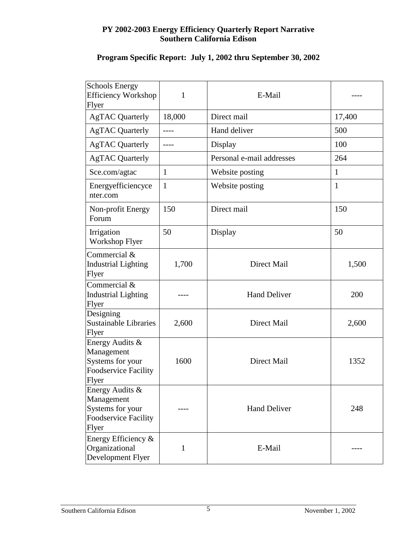# **Program Specific Report: July 1, 2002 thru September 30, 2002**

| <b>Schools Energy</b><br><b>Efficiency Workshop</b><br>Flyer                              | 1            | E-Mail                    |              |
|-------------------------------------------------------------------------------------------|--------------|---------------------------|--------------|
| <b>AgTAC Quarterly</b>                                                                    | 18,000       | Direct mail               | 17,400       |
| <b>AgTAC</b> Quarterly                                                                    |              | Hand deliver              | 500          |
| <b>AgTAC Quarterly</b>                                                                    | ----         | Display                   | 100          |
| <b>AgTAC Quarterly</b>                                                                    |              | Personal e-mail addresses | 264          |
| Sce.com/agtac                                                                             | $\mathbf{1}$ | Website posting           | $\mathbf{1}$ |
| Energyefficiencyce<br>nter.com                                                            | $\mathbf{1}$ | Website posting           | $\mathbf{1}$ |
| Non-profit Energy<br>Forum                                                                | 150          | Direct mail               | 150          |
| Irrigation<br>Workshop Flyer                                                              | 50           | Display                   | 50           |
| Commercial &<br><b>Industrial Lighting</b><br>Flyer                                       | 1,700        | Direct Mail               | 1,500        |
| Commercial &<br><b>Industrial Lighting</b><br>Flyer                                       |              | <b>Hand Deliver</b>       | 200          |
| Designing<br><b>Sustainable Libraries</b><br>Flyer                                        | 2,600        | Direct Mail               | 2,600        |
| Energy Audits &<br>Management<br>Systems for your<br><b>Foodservice Facility</b><br>Flyer | 1600         | Direct Mail               | 1352         |
| Energy Audits &<br>Management<br>Systems for your<br><b>Foodservice Facility</b><br>Flyer |              | <b>Hand Deliver</b>       | 248          |
| Energy Efficiency &<br>Organizational<br>Development Flyer                                | 1            | E-Mail                    |              |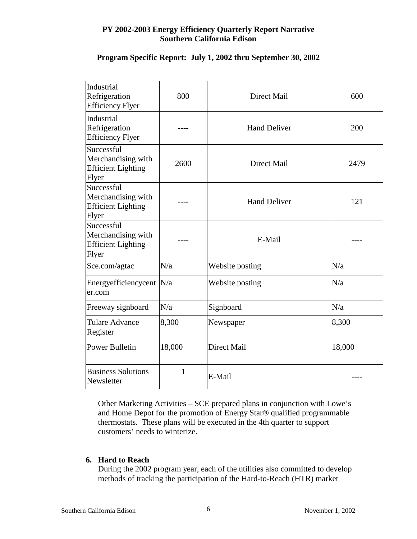# **Program Specific Report: July 1, 2002 thru September 30, 2002**

| Industrial<br>Refrigeration<br><b>Efficiency Flyer</b>                 | 800    | Direct Mail         | 600    |
|------------------------------------------------------------------------|--------|---------------------|--------|
| Industrial<br>Refrigeration<br><b>Efficiency Flyer</b>                 |        | <b>Hand Deliver</b> | 200    |
| Successful<br>Merchandising with<br><b>Efficient Lighting</b><br>Flyer | 2600   | Direct Mail         | 2479   |
| Successful<br>Merchandising with<br><b>Efficient Lighting</b><br>Flyer |        | <b>Hand Deliver</b> | 121    |
| Successful<br>Merchandising with<br><b>Efficient Lighting</b><br>Flyer |        | E-Mail              |        |
| Sce.com/agtac                                                          | N/a    | Website posting     | N/a    |
| Energyefficiencycent<br>er.com                                         | N/a    | Website posting     | N/a    |
| Freeway signboard                                                      | N/a    | Signboard           | N/a    |
| <b>Tulare Advance</b><br>Register                                      | 8,300  | Newspaper           | 8,300  |
| <b>Power Bulletin</b>                                                  | 18,000 | <b>Direct Mail</b>  | 18,000 |
| <b>Business Solutions</b><br>Newsletter                                | 1      | E-Mail              |        |

Other Marketing Activities – SCE prepared plans in conjunction with Lowe's and Home Depot for the promotion of Energy Star® qualified programmable thermostats. These plans will be executed in the 4th quarter to support customers' needs to winterize.

## **6. Hard to Reach**

During the 2002 program year, each of the utilities also committed to develop methods of tracking the participation of the Hard-to-Reach (HTR) market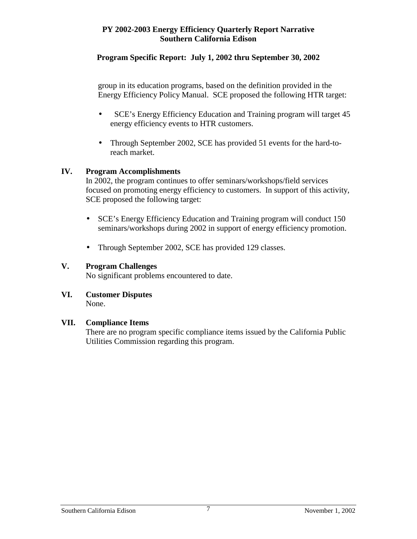# **Program Specific Report: July 1, 2002 thru September 30, 2002**

group in its education programs, based on the definition provided in the Energy Efficiency Policy Manual. SCE proposed the following HTR target:

- SCE's Energy Efficiency Education and Training program will target 45 energy efficiency events to HTR customers.
- Through September 2002, SCE has provided 51 events for the hard-toreach market.

#### **IV. Program Accomplishments**

In 2002, the program continues to offer seminars/workshops/field services focused on promoting energy efficiency to customers. In support of this activity, SCE proposed the following target:

- SCE's Energy Efficiency Education and Training program will conduct 150 seminars/workshops during 2002 in support of energy efficiency promotion.
- Through September 2002, SCE has provided 129 classes.

#### **V. Program Challenges**

No significant problems encountered to date.

**VI. Customer Disputes** 

None.

## **VII. Compliance Items**

There are no program specific compliance items issued by the California Public Utilities Commission regarding this program.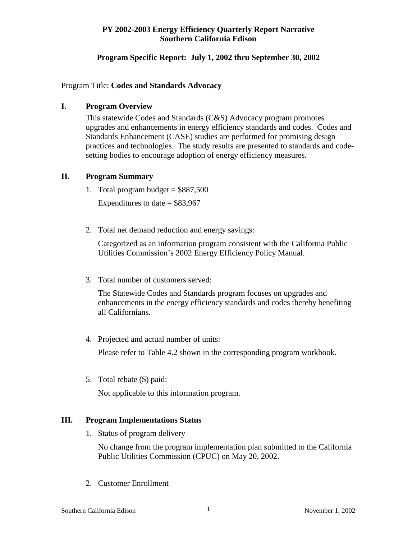## **Program Specific Report: July 1, 2002 thru September 30, 2002**

## Program Title: **Codes and Standards Advocacy**

## **I. Program Overview**

This statewide Codes and Standards (C&S) Advocacy program promotes upgrades and enhancements in energy efficiency standards and codes. Codes and Standards Enhancement (CASE) studies are performed for promising design practices and technologies. The study results are presented to standards and codesetting bodies to encourage adoption of energy efficiency measures.

#### **II. Program Summary**

- 1. Total program budget  $= $887,500$ Expenditures to date  $= $83,967$
- 2. Total net demand reduction and energy savings:

Categorized as an information program consistent with the California Public Utilities Commission's 2002 Energy Efficiency Policy Manual.

3. Total number of customers served:

The Statewide Codes and Standards program focuses on upgrades and enhancements in the energy efficiency standards and codes thereby benefiting all Californians.

4. Projected and actual number of units:

Please refer to Table 4.2 shown in the corresponding program workbook.

5. Total rebate (\$) paid:

Not applicable to this information program.

## **III. Program Implementations Status**

1. Status of program delivery

No change from the program implementation plan submitted to the California Public Utilities Commission (CPUC) on May 20, 2002.

2. Customer Enrollment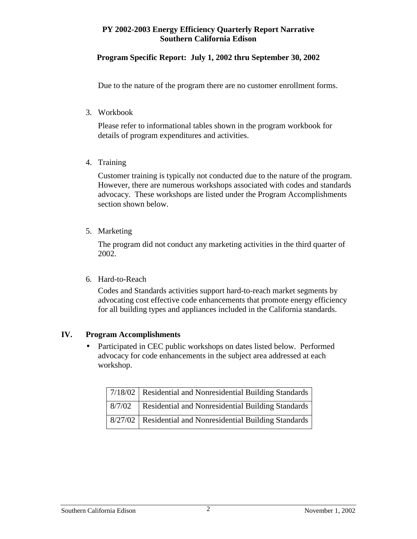## **Program Specific Report: July 1, 2002 thru September 30, 2002**

Due to the nature of the program there are no customer enrollment forms.

3. Workbook

Please refer to informational tables shown in the program workbook for details of program expenditures and activities.

4. Training

Customer training is typically not conducted due to the nature of the program. However, there are numerous workshops associated with codes and standards advocacy. These workshops are listed under the Program Accomplishments section shown below.

5. Marketing

The program did not conduct any marketing activities in the third quarter of 2002.

6. Hard-to-Reach

Codes and Standards activities support hard-to-reach market segments by advocating cost effective code enhancements that promote energy efficiency for all building types and appliances included in the California standards.

## **IV. Program Accomplishments**

• Participated in CEC public workshops on dates listed below. Performed advocacy for code enhancements in the subject area addressed at each workshop.

|        | 7/18/02   Residential and Nonresidential Building Standards |
|--------|-------------------------------------------------------------|
| 8/7/02 | <b>Residential and Nonresidential Building Standards</b>    |
|        | 8/27/02   Residential and Nonresidential Building Standards |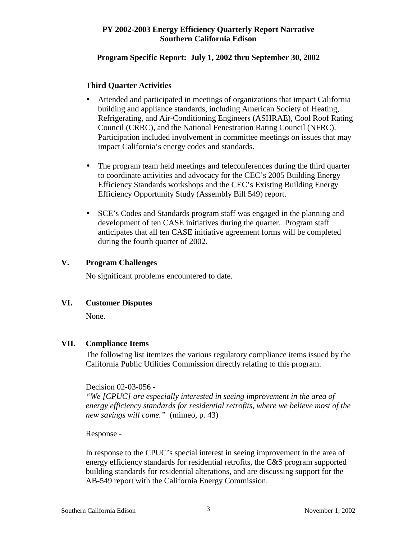## **Program Specific Report: July 1, 2002 thru September 30, 2002**

## **Third Quarter Activities**

- Attended and participated in meetings of organizations that impact California building and appliance standards, including American Society of Heating, Refrigerating, and Air-Conditioning Engineers (ASHRAE), Cool Roof Rating Council (CRRC), and the National Fenestration Rating Council (NFRC). Participation included involvement in committee meetings on issues that may impact California's energy codes and standards.
- The program team held meetings and teleconferences during the third quarter to coordinate activities and advocacy for the CEC's 2005 Building Energy Efficiency Standards workshops and the CEC's Existing Building Energy Efficiency Opportunity Study (Assembly Bill 549) report.
- SCE's Codes and Standards program staff was engaged in the planning and development of ten CASE initiatives during the quarter. Program staff anticipates that all ten CASE initiative agreement forms will be completed during the fourth quarter of 2002.

## **V. Program Challenges**

No significant problems encountered to date.

## **VI. Customer Disputes**

None.

## **VII. Compliance Items**

The following list itemizes the various regulatory compliance items issued by the California Public Utilities Commission directly relating to this program.

## Decision 02-03-056 -

*"We [CPUC] are especially interested in seeing improvement in the area of energy efficiency standards for residential retrofits, where we believe most of the new savings will come."* (mimeo, p. 43)

Response -

In response to the CPUC's special interest in seeing improvement in the area of energy efficiency standards for residential retrofits, the C&S program supported building standards for residential alterations, and are discussing support for the AB-549 report with the California Energy Commission.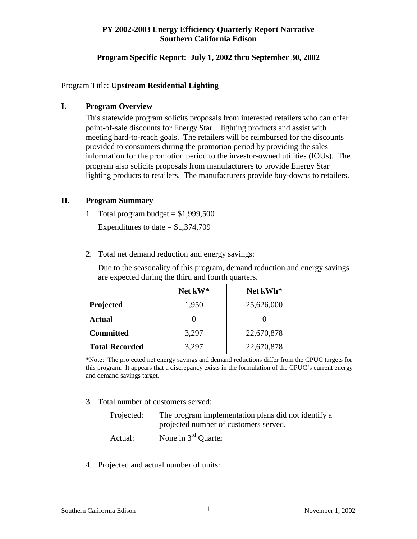## **Program Specific Report: July 1, 2002 thru September 30, 2002**

#### Program Title: **Upstream Residential Lighting**

#### **I. Program Overview**

This statewide program solicits proposals from interested retailers who can offer point-of-sale discounts for Energy Star® lighting products and assist with meeting hard-to-reach goals. The retailers will be reimbursed for the discounts provided to consumers during the promotion period by providing the sales information for the promotion period to the investor-owned utilities (IOUs). The program also solicits proposals from manufacturers to provide Energy Star lighting products to retailers. The manufacturers provide buy-downs to retailers.

## **II. Program Summary**

- 1. Total program budget  $= $1,999,500$ Expenditures to date  $= $1,374,709$
- 2. Total net demand reduction and energy savings:

Due to the seasonality of this program, demand reduction and energy savings are expected during the third and fourth quarters.

|                       | Net kW* | Net kWh*   |
|-----------------------|---------|------------|
| Projected             | 1,950   | 25,626,000 |
| <b>Actual</b>         |         |            |
| <b>Committed</b>      | 3,297   | 22,670,878 |
| <b>Total Recorded</b> | 3,297   | 22,670,878 |

\*Note: The projected net energy savings and demand reductions differ from the CPUC targets for this program. It appears that a discrepancy exists in the formulation of the CPUC's current energy and demand savings target.

3. Total number of customers served:

| Projected: | The program implementation plans did not identify a |
|------------|-----------------------------------------------------|
|            | projected number of customers served.               |
| Actual:    | None in $3rd$ Quarter                               |

4. Projected and actual number of units: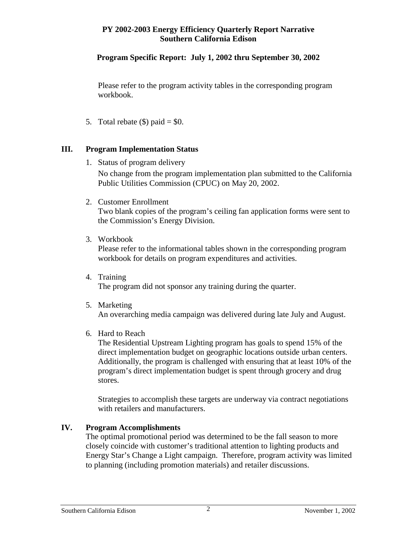# **Program Specific Report: July 1, 2002 thru September 30, 2002**

Please refer to the program activity tables in the corresponding program workbook.

5. Total rebate  $(\$)$  paid = \$0.

# **III. Program Implementation Status**

1. Status of program delivery

No change from the program implementation plan submitted to the California Public Utilities Commission (CPUC) on May 20, 2002.

2. Customer Enrollment

Two blank copies of the program's ceiling fan application forms were sent to the Commission's Energy Division.

3. Workbook

Please refer to the informational tables shown in the corresponding program workbook for details on program expenditures and activities.

4. Training

The program did not sponsor any training during the quarter.

- 5. Marketing An overarching media campaign was delivered during late July and August.
- 6. Hard to Reach

The Residential Upstream Lighting program has goals to spend 15% of the direct implementation budget on geographic locations outside urban centers. Additionally, the program is challenged with ensuring that at least 10% of the program's direct implementation budget is spent through grocery and drug stores.

Strategies to accomplish these targets are underway via contract negotiations with retailers and manufacturers.

# **IV. Program Accomplishments**

The optimal promotional period was determined to be the fall season to more closely coincide with customer's traditional attention to lighting products and Energy Star's Change a Light campaign. Therefore, program activity was limited to planning (including promotion materials) and retailer discussions.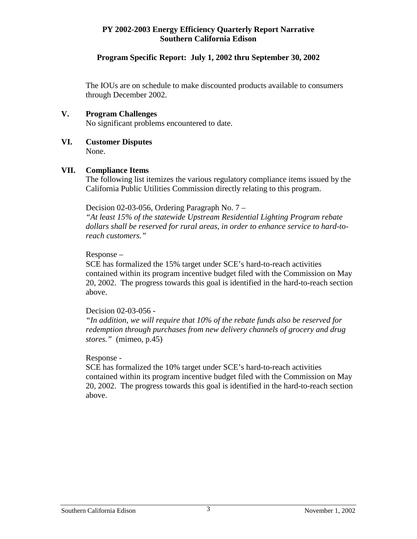## **Program Specific Report: July 1, 2002 thru September 30, 2002**

The IOUs are on schedule to make discounted products available to consumers through December 2002.

#### **V. Program Challenges**

No significant problems encountered to date.

**VI. Customer Disputes**  None.

#### **VII. Compliance Items**

The following list itemizes the various regulatory compliance items issued by the California Public Utilities Commission directly relating to this program.

Decision 02-03-056, Ordering Paragraph No. 7 –

*"At least 15% of the statewide Upstream Residential Lighting Program rebate dollars shall be reserved for rural areas, in order to enhance service to hard-toreach customers."* 

Response –

SCE has formalized the 15% target under SCE's hard-to-reach activities contained within its program incentive budget filed with the Commission on May 20, 2002. The progress towards this goal is identified in the hard-to-reach section above.

#### Decision 02-03-056 -

*"In addition, we will require that 10% of the rebate funds also be reserved for redemption through purchases from new delivery channels of grocery and drug stores."* (mimeo, p.45)

#### Response -

SCE has formalized the 10% target under SCE's hard-to-reach activities contained within its program incentive budget filed with the Commission on May 20, 2002. The progress towards this goal is identified in the hard-to-reach section above.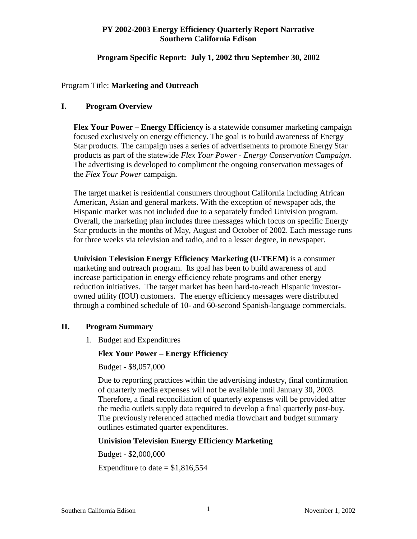## **Program Specific Report: July 1, 2002 thru September 30, 2002**

## Program Title: **Marketing and Outreach**

## **I. Program Overview**

**Flex Your Power – Energy Efficiency** is a statewide consumer marketing campaign focused exclusively on energy efficiency. The goal is to build awareness of Energy Star products. The campaign uses a series of advertisements to promote Energy Star products as part of the statewide *Flex Your Power - Energy Conservation Campaign*. The advertising is developed to compliment the ongoing conservation messages of the *Flex Your Power* campaign.

The target market is residential consumers throughout California including African American, Asian and general markets. With the exception of newspaper ads, the Hispanic market was not included due to a separately funded Univision program. Overall, the marketing plan includes three messages which focus on specific Energy Star products in the months of May, August and October of 2002. Each message runs for three weeks via television and radio, and to a lesser degree, in newspaper.

**Univision Television Energy Efficiency Marketing (U-TEEM)** is a consumer marketing and outreach program. Its goal has been to build awareness of and increase participation in energy efficiency rebate programs and other energy reduction initiatives. The target market has been hard-to-reach Hispanic investorowned utility (IOU) customers. The energy efficiency messages were distributed through a combined schedule of 10- and 60-second Spanish-language commercials.

## **II. Program Summary**

1. Budget and Expenditures

## **Flex Your Power – Energy Efficiency**

Budget - \$8,057,000

Due to reporting practices within the advertising industry, final confirmation of quarterly media expenses will not be available until January 30, 2003. Therefore, a final reconciliation of quarterly expenses will be provided after the media outlets supply data required to develop a final quarterly post-buy. The previously referenced attached media flowchart and budget summary outlines estimated quarter expenditures.

## **Univision Television Energy Efficiency Marketing**

Budget - \$2,000,000

Expenditure to date  $= $1,816,554$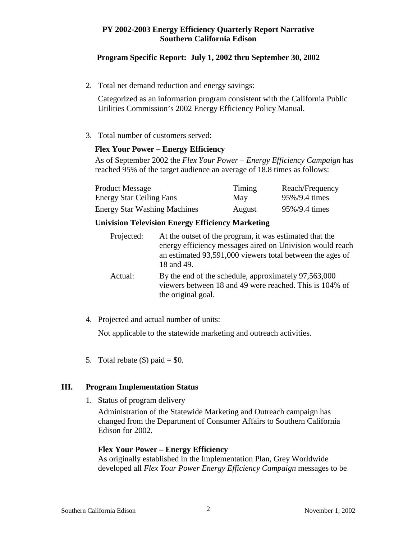# **Program Specific Report: July 1, 2002 thru September 30, 2002**

2. Total net demand reduction and energy savings:

Categorized as an information program consistent with the California Public Utilities Commission's 2002 Energy Efficiency Policy Manual.

3. Total number of customers served:

## **Flex Your Power – Energy Efficiency**

As of September 2002 the *Flex Your Power – Energy Efficiency Campaign* has reached 95% of the target audience an average of 18.8 times as follows:

| <b>Product Message</b>              | <u>Timing</u> | Reach/Frequency |
|-------------------------------------|---------------|-----------------|
| <b>Energy Star Ceiling Fans</b>     | May           | 95%/9.4 times   |
| <b>Energy Star Washing Machines</b> | August        | 95%/9.4 times   |

## **Univision Television Energy Efficiency Marketing**

| Projected: | At the outset of the program, it was estimated that the<br>energy efficiency messages aired on Univision would reach<br>an estimated 93,591,000 viewers total between the ages of<br>18 and 49. |
|------------|-------------------------------------------------------------------------------------------------------------------------------------------------------------------------------------------------|
| Actual:    | By the end of the schedule, approximately 97,563,000<br>viewers between 18 and 49 were reached. This is 104% of<br>the original goal.                                                           |

4. Projected and actual number of units:

Not applicable to the statewide marketing and outreach activities.

5. Total rebate  $(\$)$  paid = \$0.

## **III. Program Implementation Status**

1. Status of program delivery

Administration of the Statewide Marketing and Outreach campaign has changed from the Department of Consumer Affairs to Southern California Edison for 2002.

## **Flex Your Power – Energy Efficiency**

As originally established in the Implementation Plan, Grey Worldwide developed all *Flex Your Power Energy Efficiency Campaign* messages to be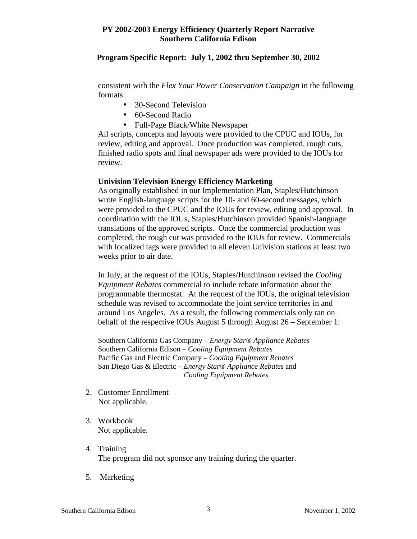## **Program Specific Report: July 1, 2002 thru September 30, 2002**

consistent with the *Flex Your Power Conservation Campaign* in the following formats:

- 30-Second Television
- 60-Second Radio
- Full-Page Black/White Newspaper

All scripts, concepts and layouts were provided to the CPUC and IOUs, for review, editing and approval. Once production was completed, rough cuts, finished radio spots and final newspaper ads were provided to the IOUs for review.

#### **Univision Television Energy Efficiency Marketing**

As originally established in our Implementation Plan, Staples/Hutchinson wrote English-language scripts for the 10- and 60-second messages, which were provided to the CPUC and the IOUs for review, editing and approval. In coordination with the IOUs, Staples/Hutchinson provided Spanish-language translations of the approved scripts. Once the commercial production was completed, the rough cut was provided to the IOUs for review. Commercials with localized tags were provided to all eleven Univision stations at least two weeks prior to air date.

In July, at the request of the IOUs, Staples/Hutchinson revised the *Cooling Equipment Rebates* commercial to include rebate information about the programmable thermostat. At the request of the IOUs, the original television schedule was revised to accommodate the joint service territories in and around Los Angeles. As a result, the following commercials only ran on behalf of the respective IOUs August 5 through August 26 – September 1:

Southern California Gas Company – *Energy Star® Appliance Rebates*  Southern California Edison – *Cooling Equipment Rebates*  Pacific Gas and Electric Company – *Cooling Equipment Rebates*  San Diego Gas & Electric – *Energy Star® Appliance Rebates* and *Cooling Equipment Rebates* 

- 2. Customer Enrollment Not applicable.
- 3. Workbook Not applicable.
- 4. Training The program did not sponsor any training during the quarter.
- 5. Marketing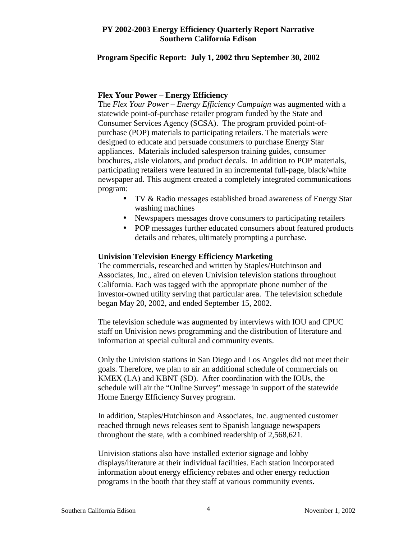## **Program Specific Report: July 1, 2002 thru September 30, 2002**

## **Flex Your Power – Energy Efficiency**

The *Flex Your Power – Energy Efficiency Campaign* was augmented with a statewide point-of-purchase retailer program funded by the State and Consumer Services Agency (SCSA). The program provided point-ofpurchase (POP) materials to participating retailers. The materials were designed to educate and persuade consumers to purchase Energy Star appliances. Materials included salesperson training guides, consumer brochures, aisle violators, and product decals. In addition to POP materials, participating retailers were featured in an incremental full-page, black/white newspaper ad. This augment created a completely integrated communications program:

- TV & Radio messages established broad awareness of Energy Star washing machines
- Newspapers messages drove consumers to participating retailers
- POP messages further educated consumers about featured products details and rebates, ultimately prompting a purchase.

## **Univision Television Energy Efficiency Marketing**

The commercials, researched and written by Staples/Hutchinson and Associates, Inc., aired on eleven Univision television stations throughout California. Each was tagged with the appropriate phone number of the investor-owned utility serving that particular area. The television schedule began May 20, 2002, and ended September 15, 2002.

The television schedule was augmented by interviews with IOU and CPUC staff on Univision news programming and the distribution of literature and information at special cultural and community events.

Only the Univision stations in San Diego and Los Angeles did not meet their goals. Therefore, we plan to air an additional schedule of commercials on KMEX (LA) and KBNT (SD). After coordination with the IOUs, the schedule will air the "Online Survey" message in support of the statewide Home Energy Efficiency Survey program.

In addition, Staples/Hutchinson and Associates, Inc. augmented customer reached through news releases sent to Spanish language newspapers throughout the state, with a combined readership of 2,568,621.

Univision stations also have installed exterior signage and lobby displays/literature at their individual facilities. Each station incorporated information about energy efficiency rebates and other energy reduction programs in the booth that they staff at various community events.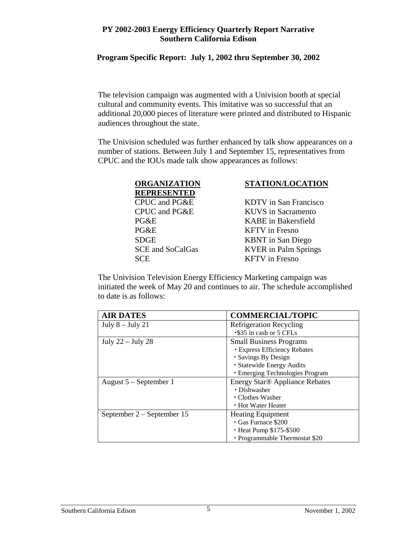## **Program Specific Report: July 1, 2002 thru September 30, 2002**

The television campaign was augmented with a Univision booth at special cultural and community events. This imitative was so successful that an additional 20,000 pieces of literature were printed and distributed to Hispanic audiences throughout the state.

The Univision scheduled was further enhanced by talk show appearances on a number of stations. Between July 1 and September 15, representatives from CPUC and the IOUs made talk show appearances as follows:

| <b>ORGANIZATION</b>     | STATION/LOCATION             |
|-------------------------|------------------------------|
| <b>REPRESENTED</b>      |                              |
| CPUC and PG&E           | <b>KDTV</b> in San Francisco |
| CPUC and PG&E           | <b>KUVS</b> in Sacramento    |
| $P G \& E$              | <b>KABE</b> in Bakersfield   |
| PG&E                    | <b>KFTV</b> in Fresno        |
| <b>SDGE</b>             | <b>KBNT</b> in San Diego     |
| <b>SCE</b> and SoCalGas | <b>KVER</b> in Palm Springs  |
| <b>SCE</b>              | <b>KFTV</b> in Fresno        |

The Univision Television Energy Efficiency Marketing campaign was initiated the week of May 20 and continues to air. The schedule accomplished to date is as follows:

| <b>AIR DATES</b>           | <b>COMMERCIAL/TOPIC</b>             |
|----------------------------|-------------------------------------|
| July $8 -$ July 21         | <b>Refrigeration Recycling</b>      |
|                            | • \$35 in cash or 5 CFLs            |
| July $22 -$ July $28$      | <b>Small Business Programs</b>      |
|                            | <b>· Express Efficiency Rebates</b> |
|                            | · Savings By Design                 |
|                            | · Statewide Energy Audits           |
|                            | · Emerging Technologies Program     |
| August 5 – September 1     | Energy Star® Appliance Rebates      |
|                            | • Dishwasher                        |
|                            | • Clothes Washer                    |
|                            | • Hot Water Heater                  |
| September 2 – September 15 | <b>Heating Equipment</b>            |
|                            | • Gas Furnace \$200                 |
|                            | • Heat Pump \$175-\$500             |
|                            | • Programmable Thermostat \$20      |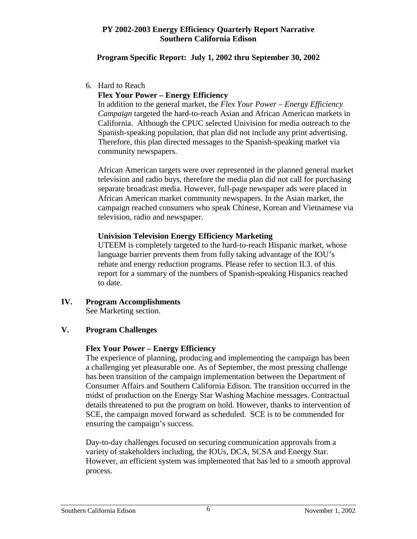## **Program Specific Report: July 1, 2002 thru September 30, 2002**

6. Hard to Reach

# **Flex Your Power – Energy Efficiency**

In addition to the general market, the *Flex Your Power – Energy Efficiency Campaign* targeted the hard-to-reach Asian and African American markets in California. Although the CPUC selected Univision for media outreach to the Spanish-speaking population, that plan did not include any print advertising. Therefore, this plan directed messages to the Spanish-speaking market via community newspapers.

African American targets were over represented in the planned general market television and radio buys, therefore the media plan did not call for purchasing separate broadcast media. However, full-page newspaper ads were placed in African American market community newspapers. In the Asian market, the campaign reached consumers who speak Chinese, Korean and Vietnamese via television, radio and newspaper.

## **Univision Television Energy Efficiency Marketing**

UTEEM is completely targeted to the hard-to-reach Hispanic market, whose language barrier prevents them from fully taking advantage of the IOU's rebate and energy reduction programs. Please refer to section II.3. of this report for a summary of the numbers of Spanish-speaking Hispanics reached to date.

**IV. Program Accomplishments**  See Marketing section.

# **V. Program Challenges**

## **Flex Your Power – Energy Efficiency**

The experience of planning, producing and implementing the campaign has been a challenging yet pleasurable one. As of September, the most pressing challenge has been transition of the campaign implementation between the Department of Consumer Affairs and Southern California Edison. The transition occurred in the midst of production on the Energy Star Washing Machine messages. Contractual details threatened to put the program on hold. However, thanks to intervention of SCE, the campaign moved forward as scheduled. SCE is to be commended for ensuring the campaign's success.

Day-to-day challenges focused on securing communication approvals from a variety of stakeholders including, the IOUs, DCA, SCSA and Energy Star. However, an efficient system was implemented that has led to a smooth approval process.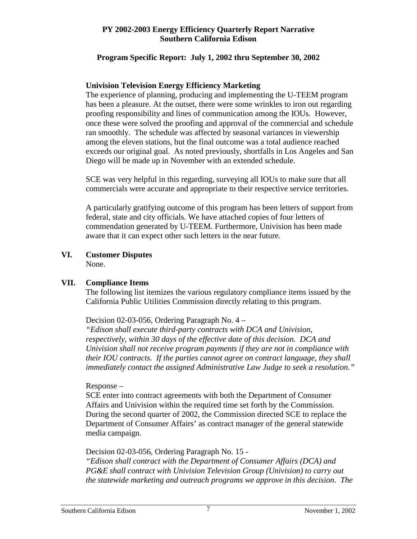#### **Program Specific Report: July 1, 2002 thru September 30, 2002**

## **Univision Television Energy Efficiency Marketing**

The experience of planning, producing and implementing the U-TEEM program has been a pleasure. At the outset, there were some wrinkles to iron out regarding proofing responsibility and lines of communication among the IOUs. However, once these were solved the proofing and approval of the commercial and schedule ran smoothly. The schedule was affected by seasonal variances in viewership among the eleven stations, but the final outcome was a total audience reached exceeds our original goal. As noted previously, shortfalls in Los Angeles and San Diego will be made up in November with an extended schedule.

SCE was very helpful in this regarding, surveying all IOUs to make sure that all commercials were accurate and appropriate to their respective service territories.

A particularly gratifying outcome of this program has been letters of support from federal, state and city officials. We have attached copies of four letters of commendation generated by U-TEEM. Furthermore, Univision has been made aware that it can expect other such letters in the near future.

# **VI. Customer Disputes**

None.

## **VII. Compliance Items**

The following list itemizes the various regulatory compliance items issued by the California Public Utilities Commission directly relating to this program.

Decision 02-03-056, Ordering Paragraph No. 4 –

*"Edison shall execute third-party contracts with DCA and Univision, respectively, within 30 days of the effective date of this decision. DCA and Univision shall not receive program payments if they are not in compliance with their IOU contracts. If the parties cannot agree on contract language, they shall immediately contact the assigned Administrative Law Judge to seek a resolution."* 

## Response –

SCE enter into contract agreements with both the Department of Consumer Affairs and Univision within the required time set forth by the Commission. During the second quarter of 2002, the Commission directed SCE to replace the Department of Consumer Affairs' as contract manager of the general statewide media campaign.

Decision 02-03-056, Ordering Paragraph No. 15 -

*"Edison shall contract with the Department of Consumer Affairs (DCA) and PG&E shall contract with Univision Television Group (Univision) to carry out the statewide marketing and outreach programs we approve in this decision. The*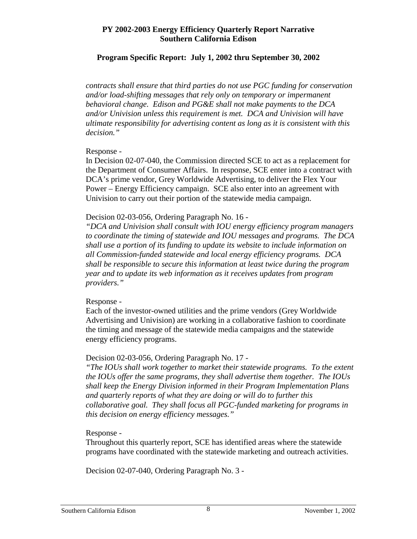#### **Program Specific Report: July 1, 2002 thru September 30, 2002**

*contracts shall ensure that third parties do not use PGC funding for conservation and/or load-shifting messages that rely only on temporary or impermanent behavioral change. Edison and PG&E shall not make payments to the DCA and/or Univision unless this requirement is met. DCA and Univision will have ultimate responsibility for advertising content as long as it is consistent with this decision."* 

#### Response -

In Decision 02-07-040, the Commission directed SCE to act as a replacement for the Department of Consumer Affairs. In response, SCE enter into a contract with DCA's prime vendor, Grey Worldwide Advertising, to deliver the Flex Your Power – Energy Efficiency campaign. SCE also enter into an agreement with Univision to carry out their portion of the statewide media campaign.

#### Decision 02-03-056, Ordering Paragraph No. 16 -

*"DCA and Univision shall consult with IOU energy efficiency program managers to coordinate the timing of statewide and IOU messages and programs. The DCA shall use a portion of its funding to update its website to include information on all Commission-funded statewide and local energy efficiency programs. DCA shall be responsible to secure this information at least twice during the program year and to update its web information as it receives updates from program providers."* 

#### Response -

Each of the investor-owned utilities and the prime vendors (Grey Worldwide Advertising and Univision) are working in a collaborative fashion to coordinate the timing and message of the statewide media campaigns and the statewide energy efficiency programs.

#### Decision 02-03-056, Ordering Paragraph No. 17 -

*"The IOUs shall work together to market their statewide programs. To the extent the IOUs offer the same programs, they shall advertise them together. The IOUs shall keep the Energy Division informed in their Program Implementation Plans and quarterly reports of what they are doing or will do to further this collaborative goal. They shall focus all PGC-funded marketing for programs in this decision on energy efficiency messages."* 

#### Response -

Throughout this quarterly report, SCE has identified areas where the statewide programs have coordinated with the statewide marketing and outreach activities.

Decision 02-07-040, Ordering Paragraph No. 3 -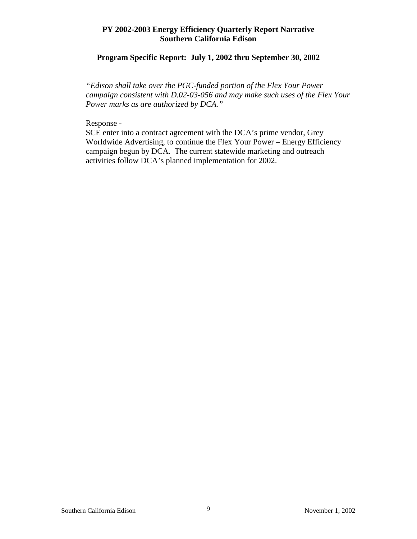# **Program Specific Report: July 1, 2002 thru September 30, 2002**

*"Edison shall take over the PGC-funded portion of the Flex Your Power campaign consistent with D.02-03-056 and may make such uses of the Flex Your Power marks as are authorized by DCA."* 

#### Response -

SCE enter into a contract agreement with the DCA's prime vendor, Grey Worldwide Advertising, to continue the Flex Your Power – Energy Efficiency campaign begun by DCA. The current statewide marketing and outreach activities follow DCA's planned implementation for 2002.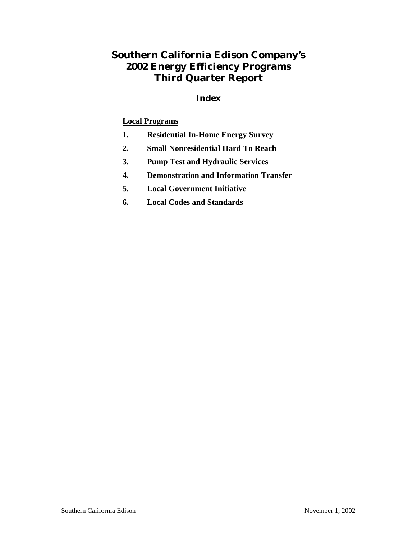# **Southern California Edison Company's 2002 Energy Efficiency Programs Third Quarter Report**

# **Index**

# **Local Programs**

- **1. Residential In-Home Energy Survey**
- **2. Small Nonresidential Hard To Reach**
- **3. Pump Test and Hydraulic Services**
- **4. Demonstration and Information Transfer**
- **5. Local Government Initiative**
- **6. Local Codes and Standards**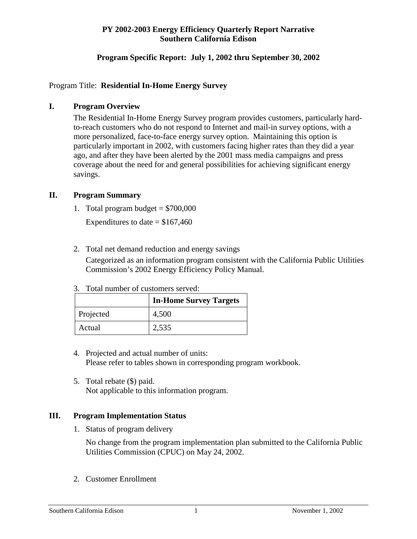# **Program Specific Report: July 1, 2002 thru September 30, 2002**

## Program Title: **Residential In-Home Energy Survey**

#### **I. Program Overview**

The Residential In-Home Energy Survey program provides customers, particularly hardto-reach customers who do not respond to Internet and mail-in survey options, with a more personalized, face-to-face energy survey option. Maintaining this option is particularly important in 2002, with customers facing higher rates than they did a year ago, and after they have been alerted by the 2001 mass media campaigns and press coverage about the need for and general possibilities for achieving significant energy savings.

#### **II. Program Summary**

1. Total program budget  $= $700,000$ 

Expenditures to date  $=$  \$167,460

## 2. Total net demand reduction and energy savings

Categorized as an information program consistent with the California Public Utilities Commission's 2002 Energy Efficiency Policy Manual.

3. Total number of customers served:

|           | <b>In-Home Survey Targets</b> |
|-----------|-------------------------------|
| Projected | 4,500                         |
| Actual    | 2,535                         |

- 4. Projected and actual number of units: Please refer to tables shown in corresponding program workbook.
- 5. Total rebate (\$) paid. Not applicable to this information program.

#### **III. Program Implementation Status**

1. Status of program delivery

No change from the program implementation plan submitted to the California Public Utilities Commission (CPUC) on May 24, 2002.

2. Customer Enrollment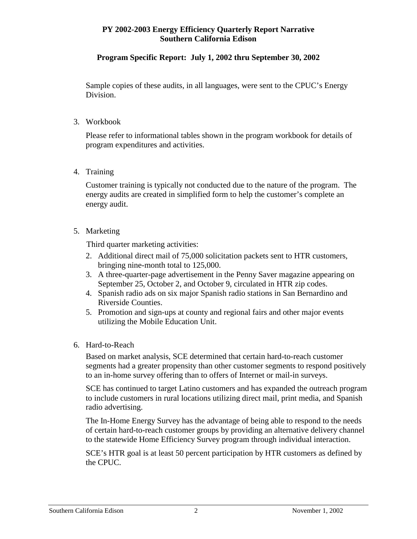# **Program Specific Report: July 1, 2002 thru September 30, 2002**

Sample copies of these audits, in all languages, were sent to the CPUC's Energy Division.

3. Workbook

Please refer to informational tables shown in the program workbook for details of program expenditures and activities.

4. Training

Customer training is typically not conducted due to the nature of the program. The energy audits are created in simplified form to help the customer's complete an energy audit.

5. Marketing

Third quarter marketing activities:

- 2. Additional direct mail of 75,000 solicitation packets sent to HTR customers, bringing nine-month total to 125,000.
- 3. A three-quarter-page advertisement in the Penny Saver magazine appearing on September 25, October 2, and October 9, circulated in HTR zip codes.
- 4. Spanish radio ads on six major Spanish radio stations in San Bernardino and Riverside Counties.
- 5. Promotion and sign-ups at county and regional fairs and other major events utilizing the Mobile Education Unit.
- 6. Hard-to-Reach

Based on market analysis, SCE determined that certain hard-to-reach customer segments had a greater propensity than other customer segments to respond positively to an in-home survey offering than to offers of Internet or mail-in surveys.

SCE has continued to target Latino customers and has expanded the outreach program to include customers in rural locations utilizing direct mail, print media, and Spanish radio advertising.

The In-Home Energy Survey has the advantage of being able to respond to the needs of certain hard-to-reach customer groups by providing an alternative delivery channel to the statewide Home Efficiency Survey program through individual interaction.

SCE's HTR goal is at least 50 percent participation by HTR customers as defined by the CPUC.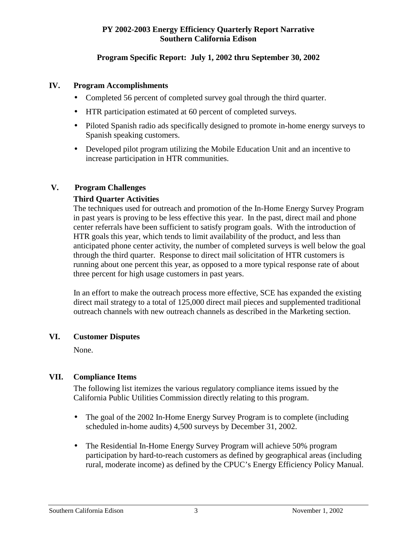# **Program Specific Report: July 1, 2002 thru September 30, 2002**

# **IV. Program Accomplishments**

- Completed 56 percent of completed survey goal through the third quarter.
- HTR participation estimated at 60 percent of completed surveys.
- Piloted Spanish radio ads specifically designed to promote in-home energy surveys to Spanish speaking customers.
- Developed pilot program utilizing the Mobile Education Unit and an incentive to increase participation in HTR communities.

# **V. Program Challenges**

# **Third Quarter Activities**

The techniques used for outreach and promotion of the In-Home Energy Survey Program in past years is proving to be less effective this year. In the past, direct mail and phone center referrals have been sufficient to satisfy program goals. With the introduction of HTR goals this year, which tends to limit availability of the product, and less than anticipated phone center activity, the number of completed surveys is well below the goal through the third quarter. Response to direct mail solicitation of HTR customers is running about one percent this year, as opposed to a more typical response rate of about three percent for high usage customers in past years.

In an effort to make the outreach process more effective, SCE has expanded the existing direct mail strategy to a total of 125,000 direct mail pieces and supplemented traditional outreach channels with new outreach channels as described in the Marketing section.

# **VI. Customer Disputes**

None.

# **VII. Compliance Items**

The following list itemizes the various regulatory compliance items issued by the California Public Utilities Commission directly relating to this program.

- The goal of the 2002 In-Home Energy Survey Program is to complete (including scheduled in-home audits) 4,500 surveys by December 31, 2002.
- The Residential In-Home Energy Survey Program will achieve 50% program participation by hard-to-reach customers as defined by geographical areas (including rural, moderate income) as defined by the CPUC's Energy Efficiency Policy Manual.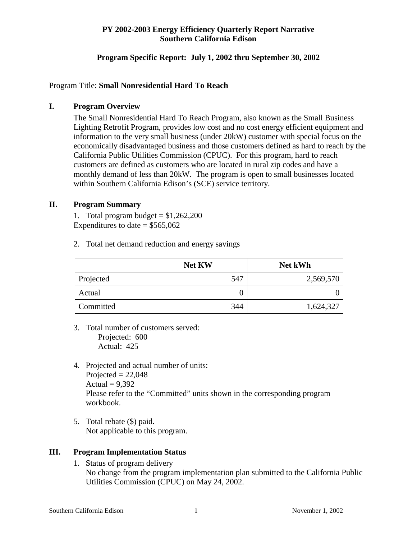# **Program Specific Report: July 1, 2002 thru September 30, 2002**

# Program Title: **Small Nonresidential Hard To Reach**

## **I. Program Overview**

The Small Nonresidential Hard To Reach Program, also known as the Small Business Lighting Retrofit Program, provides low cost and no cost energy efficient equipment and information to the very small business (under 20kW) customer with special focus on the economically disadvantaged business and those customers defined as hard to reach by the California Public Utilities Commission (CPUC). For this program, hard to reach customers are defined as customers who are located in rural zip codes and have a monthly demand of less than 20kW. The program is open to small businesses located within Southern California Edison's (SCE) service territory.

## **II. Program Summary**

1. Total program budget  $= $1,262,200$ Expenditures to date  $=$  \$565,062

2. Total net demand reduction and energy savings

|           | <b>Net KW</b> | Net kWh   |
|-----------|---------------|-----------|
| Projected | 547           | 2,569,570 |
| Actual    |               |           |
| Committed | 344           | 1,624,327 |

- 3. Total number of customers served: Projected: 600 Actual: 425
- 4. Projected and actual number of units: Projected  $= 22,048$ Actual  $= 9,392$ Please refer to the "Committed" units shown in the corresponding program workbook.
- 5. Total rebate (\$) paid. Not applicable to this program.

# **III. Program Implementation Status**

 1. Status of program delivery No change from the program implementation plan submitted to the California Public Utilities Commission (CPUC) on May 24, 2002.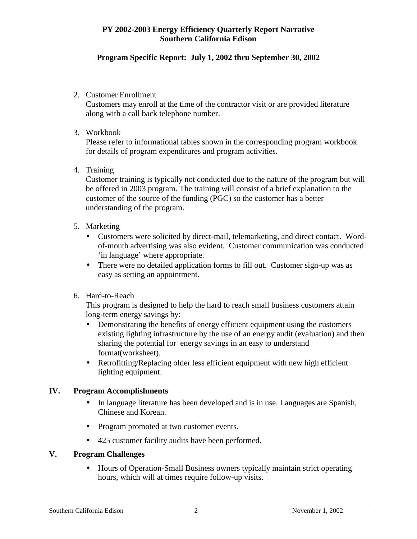# **Program Specific Report: July 1, 2002 thru September 30, 2002**

2. Customer Enrollment

Customers may enroll at the time of the contractor visit or are provided literature along with a call back telephone number.

# 3. Workbook

Please refer to informational tables shown in the corresponding program workbook for details of program expenditures and program activities.

4. Training

Customer training is typically not conducted due to the nature of the program but will be offered in 2003 program. The training will consist of a brief explanation to the customer of the source of the funding (PGC) so the customer has a better understanding of the program.

- 5. Marketing
	- Customers were solicited by direct-mail, telemarketing, and direct contact. Wordof-mouth advertising was also evident. Customer communication was conducted 'in language' where appropriate.
	- There were no detailed application forms to fill out. Customer sign-up was as easy as setting an appointment.
- 6. Hard-to-Reach

This program is designed to help the hard to reach small business customers attain long-term energy savings by:

- Demonstrating the benefits of energy efficient equipment using the customers existing lighting infrastructure by the use of an energy audit (evaluation) and then sharing the potential for energy savings in an easy to understand format(worksheet).
- Retrofitting/Replacing older less efficient equipment with new high efficient lighting equipment.

# **IV. Program Accomplishments**

- In language literature has been developed and is in use. Languages are Spanish, Chinese and Korean.
- Program promoted at two customer events.
- 425 customer facility audits have been performed.

# **V. Program Challenges**

• Hours of Operation-Small Business owners typically maintain strict operating hours, which will at times require follow-up visits.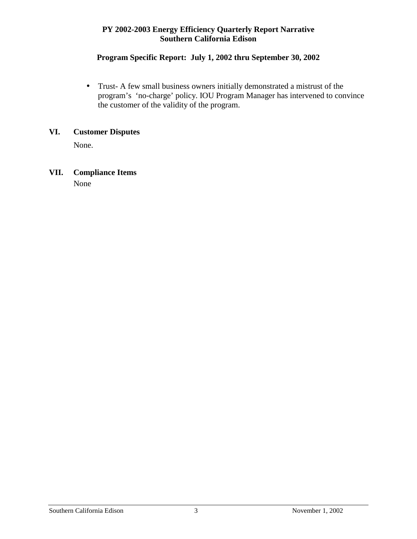# **Program Specific Report: July 1, 2002 thru September 30, 2002**

• Trust- A few small business owners initially demonstrated a mistrust of the program's 'no-charge' policy. IOU Program Manager has intervened to convince the customer of the validity of the program.

# **VI. Customer Disputes**

None.

# **VII. Compliance Items**

None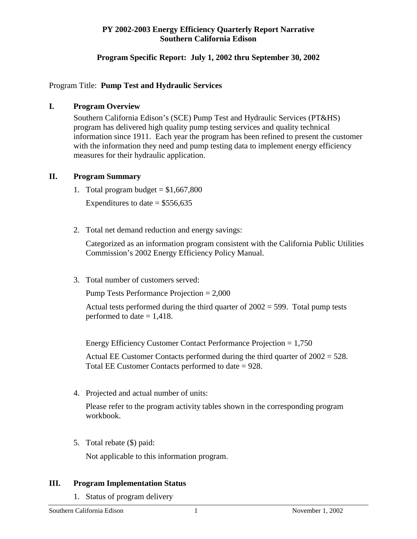# **Program Specific Report: July 1, 2002 thru September 30, 2002**

# Program Title: **Pump Test and Hydraulic Services**

# **I. Program Overview**

Southern California Edison's (SCE) Pump Test and Hydraulic Services (PT&HS) program has delivered high quality pump testing services and quality technical information since 1911. Each year the program has been refined to present the customer with the information they need and pump testing data to implement energy efficiency measures for their hydraulic application.

# **II. Program Summary**

- 1. Total program budget  $= $1,667,800$ Expenditures to date  $=$  \$556,635
- 2. Total net demand reduction and energy savings:

Categorized as an information program consistent with the California Public Utilities Commission's 2002 Energy Efficiency Policy Manual.

3. Total number of customers served:

Pump Tests Performance Projection = 2,000

Actual tests performed during the third quarter of  $2002 = 599$ . Total pump tests performed to date  $= 1,418$ .

Energy Efficiency Customer Contact Performance Projection = 1,750

Actual EE Customer Contacts performed during the third quarter of 2002 = 528. Total EE Customer Contacts performed to date = 928.

4. Projected and actual number of units:

Please refer to the program activity tables shown in the corresponding program workbook.

5. Total rebate (\$) paid:

Not applicable to this information program.

# **III. Program Implementation Status**

1. Status of program delivery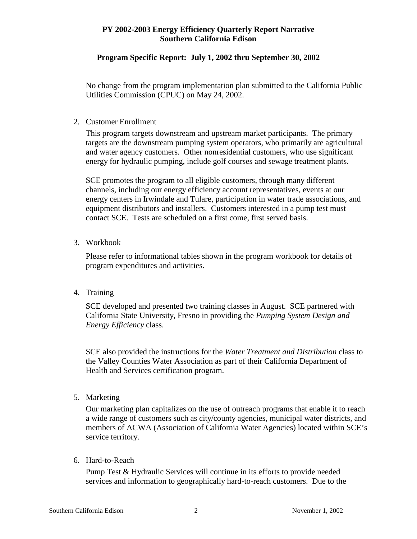# **Program Specific Report: July 1, 2002 thru September 30, 2002**

No change from the program implementation plan submitted to the California Public Utilities Commission (CPUC) on May 24, 2002.

## 2. Customer Enrollment

This program targets downstream and upstream market participants. The primary targets are the downstream pumping system operators, who primarily are agricultural and water agency customers. Other nonresidential customers, who use significant energy for hydraulic pumping, include golf courses and sewage treatment plants.

SCE promotes the program to all eligible customers, through many different channels, including our energy efficiency account representatives, events at our energy centers in Irwindale and Tulare, participation in water trade associations, and equipment distributors and installers. Customers interested in a pump test must contact SCE. Tests are scheduled on a first come, first served basis.

3. Workbook

Please refer to informational tables shown in the program workbook for details of program expenditures and activities.

4. Training

SCE developed and presented two training classes in August. SCE partnered with California State University, Fresno in providing the *Pumping System Design and Energy Efficiency* class.

SCE also provided the instructions for the *Water Treatment and Distribution* class to the Valley Counties Water Association as part of their California Department of Health and Services certification program.

5. Marketing

Our marketing plan capitalizes on the use of outreach programs that enable it to reach a wide range of customers such as city/county agencies, municipal water districts, and members of ACWA (Association of California Water Agencies) located within SCE's service territory.

6. Hard-to-Reach

Pump Test & Hydraulic Services will continue in its efforts to provide needed services and information to geographically hard-to-reach customers. Due to the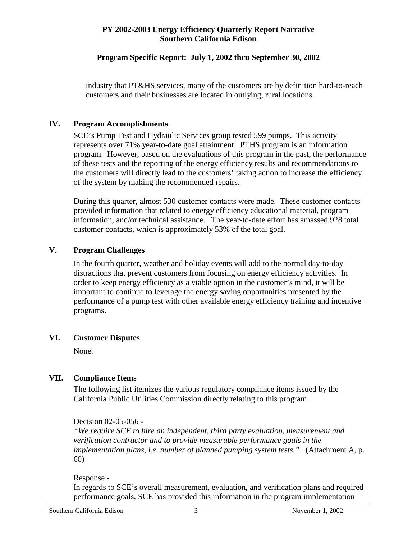# **Program Specific Report: July 1, 2002 thru September 30, 2002**

industry that PT&HS services, many of the customers are by definition hard-to-reach customers and their businesses are located in outlying, rural locations.

#### **IV. Program Accomplishments**

SCE's Pump Test and Hydraulic Services group tested 599 pumps. This activity represents over 71% year-to-date goal attainment. PTHS program is an information program. However, based on the evaluations of this program in the past, the performance of these tests and the reporting of the energy efficiency results and recommendations to the customers will directly lead to the customers' taking action to increase the efficiency of the system by making the recommended repairs.

During this quarter, almost 530 customer contacts were made. These customer contacts provided information that related to energy efficiency educational material, program information, and/or technical assistance. The year-to-date effort has amassed 928 total customer contacts, which is approximately 53% of the total goal.

## **V. Program Challenges**

In the fourth quarter, weather and holiday events will add to the normal day-to-day distractions that prevent customers from focusing on energy efficiency activities. In order to keep energy efficiency as a viable option in the customer's mind, it will be important to continue to leverage the energy saving opportunities presented by the performance of a pump test with other available energy efficiency training and incentive programs.

#### **VI. Customer Disputes**

None.

# **VII. Compliance Items**

The following list itemizes the various regulatory compliance items issued by the California Public Utilities Commission directly relating to this program.

Decision 02-05-056 -

*"We require SCE to hire an independent, third party evaluation, measurement and verification contractor and to provide measurable performance goals in the implementation plans, i.e. number of planned pumping system tests."* (Attachment A, p. 60)

#### Response -

In regards to SCE's overall measurement, evaluation, and verification plans and required performance goals, SCE has provided this information in the program implementation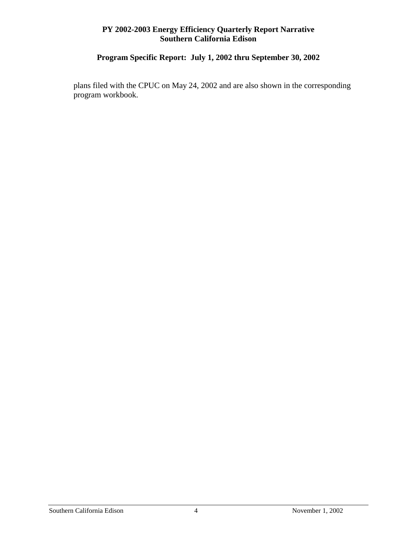# **Program Specific Report: July 1, 2002 thru September 30, 2002**

plans filed with the CPUC on May 24, 2002 and are also shown in the corresponding program workbook.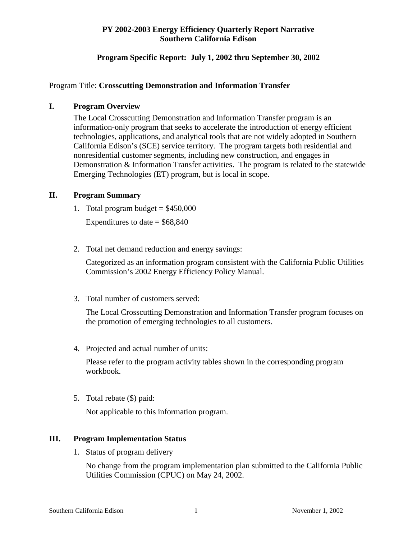# **Program Specific Report: July 1, 2002 thru September 30, 2002**

## Program Title: **Crosscutting Demonstration and Information Transfer**

#### **I. Program Overview**

The Local Crosscutting Demonstration and Information Transfer program is an information-only program that seeks to accelerate the introduction of energy efficient technologies, applications, and analytical tools that are not widely adopted in Southern California Edison's (SCE) service territory. The program targets both residential and nonresidential customer segments, including new construction, and engages in Demonstration & Information Transfer activities. The program is related to the statewide Emerging Technologies (ET) program, but is local in scope.

#### **II. Program Summary**

1. Total program budget  $= $450,000$ 

Expenditures to date  $=$  \$68,840

2. Total net demand reduction and energy savings:

Categorized as an information program consistent with the California Public Utilities Commission's 2002 Energy Efficiency Policy Manual.

3. Total number of customers served:

The Local Crosscutting Demonstration and Information Transfer program focuses on the promotion of emerging technologies to all customers.

4. Projected and actual number of units:

Please refer to the program activity tables shown in the corresponding program workbook.

5. Total rebate (\$) paid:

Not applicable to this information program.

# **III. Program Implementation Status**

1. Status of program delivery

No change from the program implementation plan submitted to the California Public Utilities Commission (CPUC) on May 24, 2002.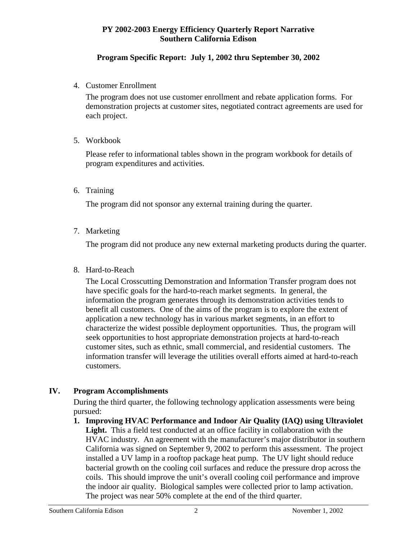# **Program Specific Report: July 1, 2002 thru September 30, 2002**

4. Customer Enrollment

The program does not use customer enrollment and rebate application forms. For demonstration projects at customer sites, negotiated contract agreements are used for each project.

5. Workbook

Please refer to informational tables shown in the program workbook for details of program expenditures and activities.

6. Training

The program did not sponsor any external training during the quarter.

7. Marketing

The program did not produce any new external marketing products during the quarter.

8. Hard-to-Reach

The Local Crosscutting Demonstration and Information Transfer program does not have specific goals for the hard-to-reach market segments. In general, the information the program generates through its demonstration activities tends to benefit all customers. One of the aims of the program is to explore the extent of application a new technology has in various market segments, in an effort to characterize the widest possible deployment opportunities. Thus, the program will seek opportunities to host appropriate demonstration projects at hard-to-reach customer sites, such as ethnic, small commercial, and residential customers. The information transfer will leverage the utilities overall efforts aimed at hard-to-reach customers.

# **IV. Program Accomplishments**

During the third quarter, the following technology application assessments were being pursued:

**1. Improving HVAC Performance and Indoor Air Quality (IAQ) using Ultraviolet Light.** This a field test conducted at an office facility in collaboration with the HVAC industry. An agreement with the manufacturer's major distributor in southern California was signed on September 9, 2002 to perform this assessment. The project installed a UV lamp in a rooftop package heat pump. The UV light should reduce bacterial growth on the cooling coil surfaces and reduce the pressure drop across the coils. This should improve the unit's overall cooling coil performance and improve the indoor air quality. Biological samples were collected prior to lamp activation. The project was near 50% complete at the end of the third quarter.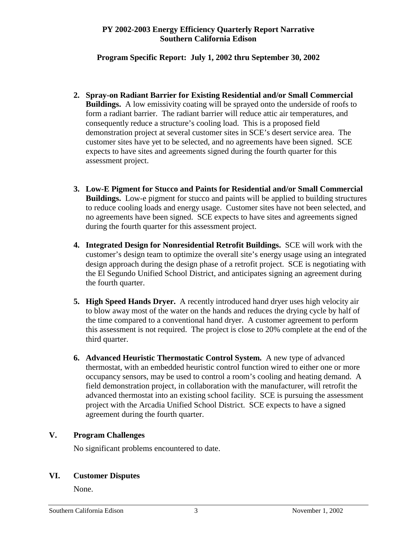# **Program Specific Report: July 1, 2002 thru September 30, 2002**

- **2. Spray-on Radiant Barrier for Existing Residential and/or Small Commercial Buildings.** A low emissivity coating will be sprayed onto the underside of roofs to form a radiant barrier. The radiant barrier will reduce attic air temperatures, and consequently reduce a structure's cooling load. This is a proposed field demonstration project at several customer sites in SCE's desert service area. The customer sites have yet to be selected, and no agreements have been signed. SCE expects to have sites and agreements signed during the fourth quarter for this assessment project.
- **3. Low-E Pigment for Stucco and Paints for Residential and/or Small Commercial Buildings.** Low-e pigment for stucco and paints will be applied to building structures to reduce cooling loads and energy usage. Customer sites have not been selected, and no agreements have been signed. SCE expects to have sites and agreements signed during the fourth quarter for this assessment project.
- **4. Integrated Design for Nonresidential Retrofit Buildings.** SCE will work with the customer's design team to optimize the overall site's energy usage using an integrated design approach during the design phase of a retrofit project. SCE is negotiating with the El Segundo Unified School District, and anticipates signing an agreement during the fourth quarter.
- **5. High Speed Hands Dryer.** A recently introduced hand dryer uses high velocity air to blow away most of the water on the hands and reduces the drying cycle by half of the time compared to a conventional hand dryer. A customer agreement to perform this assessment is not required. The project is close to 20% complete at the end of the third quarter.
- **6. Advanced Heuristic Thermostatic Control System.** A new type of advanced thermostat, with an embedded heuristic control function wired to either one or more occupancy sensors, may be used to control a room's cooling and heating demand. A field demonstration project, in collaboration with the manufacturer, will retrofit the advanced thermostat into an existing school facility. SCE is pursuing the assessment project with the Arcadia Unified School District. SCE expects to have a signed agreement during the fourth quarter.

# **V. Program Challenges**

No significant problems encountered to date.

# **VI. Customer Disputes**

None.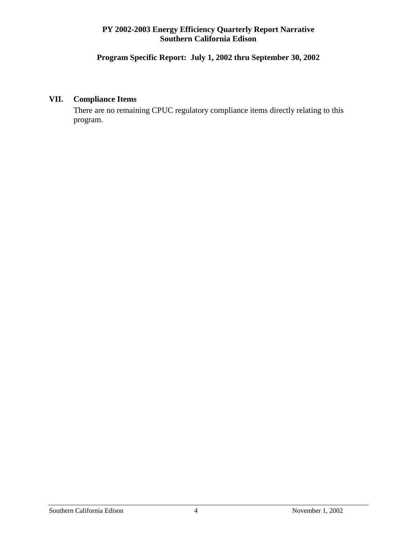# **Program Specific Report: July 1, 2002 thru September 30, 2002**

# **VII. Compliance Items**

 There are no remaining CPUC regulatory compliance items directly relating to this program.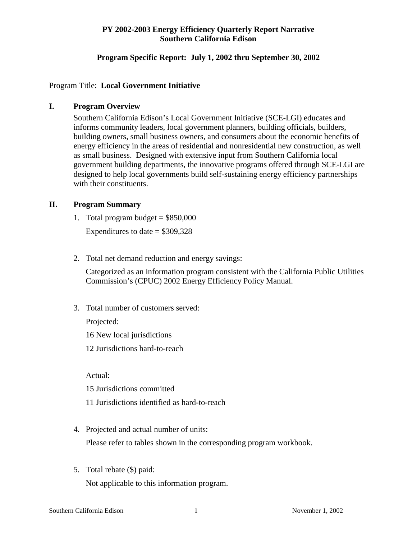# **Program Specific Report: July 1, 2002 thru September 30, 2002**

#### Program Title: **Local Government Initiative**

## **I. Program Overview**

Southern California Edison's Local Government Initiative (SCE-LGI) educates and informs community leaders, local government planners, building officials, builders, building owners, small business owners, and consumers about the economic benefits of energy efficiency in the areas of residential and nonresidential new construction, as well as small business. Designed with extensive input from Southern California local government building departments, the innovative programs offered through SCE-LGI are designed to help local governments build self-sustaining energy efficiency partnerships with their constituents.

## **II. Program Summary**

1. Total program budget  $= $850,000$ 

Expenditures to date  $= $309,328$ 

2. Total net demand reduction and energy savings:

Categorized as an information program consistent with the California Public Utilities Commission's (CPUC) 2002 Energy Efficiency Policy Manual.

3. Total number of customers served:

Projected:

- 16 New local jurisdictions
- 12 Jurisdictions hard-to-reach

Actual:

15 Jurisdictions committed

- 11 Jurisdictions identified as hard-to-reach
- 4. Projected and actual number of units:

Please refer to tables shown in the corresponding program workbook.

5. Total rebate (\$) paid:

Not applicable to this information program.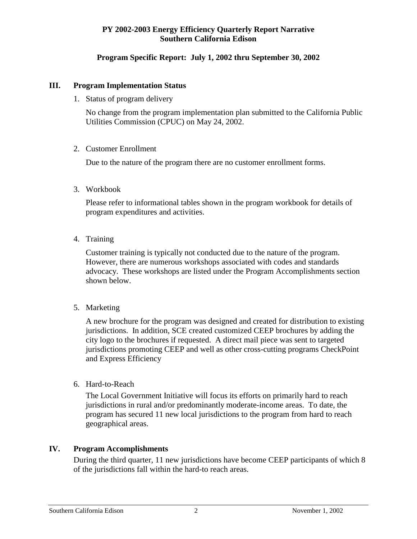# **Program Specific Report: July 1, 2002 thru September 30, 2002**

# **III. Program Implementation Status**

1. Status of program delivery

No change from the program implementation plan submitted to the California Public Utilities Commission (CPUC) on May 24, 2002.

2. Customer Enrollment

Due to the nature of the program there are no customer enrollment forms.

3. Workbook

Please refer to informational tables shown in the program workbook for details of program expenditures and activities.

4. Training

Customer training is typically not conducted due to the nature of the program. However, there are numerous workshops associated with codes and standards advocacy. These workshops are listed under the Program Accomplishments section shown below.

5. Marketing

A new brochure for the program was designed and created for distribution to existing jurisdictions. In addition, SCE created customized CEEP brochures by adding the city logo to the brochures if requested. A direct mail piece was sent to targeted jurisdictions promoting CEEP and well as other cross-cutting programs CheckPoint and Express Efficiency

6. Hard-to-Reach

The Local Government Initiative will focus its efforts on primarily hard to reach jurisdictions in rural and/or predominantly moderate-income areas. To date, the program has secured 11 new local jurisdictions to the program from hard to reach geographical areas.

# **IV. Program Accomplishments**

During the third quarter, 11 new jurisdictions have become CEEP participants of which 8 of the jurisdictions fall within the hard-to reach areas.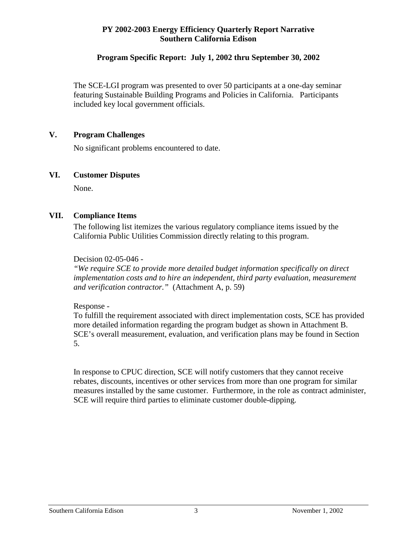# **Program Specific Report: July 1, 2002 thru September 30, 2002**

The SCE-LGI program was presented to over 50 participants at a one-day seminar featuring Sustainable Building Programs and Policies in California. Participants included key local government officials.

# **V. Program Challenges**

No significant problems encountered to date.

## **VI. Customer Disputes**

None.

## **VII. Compliance Items**

The following list itemizes the various regulatory compliance items issued by the California Public Utilities Commission directly relating to this program.

#### Decision 02-05-046 -

*"We require SCE to provide more detailed budget information specifically on direct implementation costs and to hire an independent, third party evaluation, measurement and verification contractor."* (Attachment A, p. 59)

Response -

To fulfill the requirement associated with direct implementation costs, SCE has provided more detailed information regarding the program budget as shown in Attachment B. SCE's overall measurement, evaluation, and verification plans may be found in Section 5.

In response to CPUC direction, SCE will notify customers that they cannot receive rebates, discounts, incentives or other services from more than one program for similar measures installed by the same customer. Furthermore, in the role as contract administer, SCE will require third parties to eliminate customer double-dipping.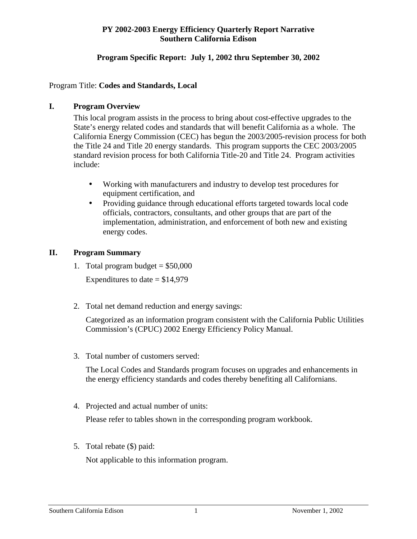# **Program Specific Report: July 1, 2002 thru September 30, 2002**

#### Program Title: **Codes and Standards, Local**

#### **I. Program Overview**

This local program assists in the process to bring about cost-effective upgrades to the State's energy related codes and standards that will benefit California as a whole. The California Energy Commission (CEC) has begun the 2003/2005-revision process for both the Title 24 and Title 20 energy standards. This program supports the CEC 2003/2005 standard revision process for both California Title-20 and Title 24. Program activities include:

- Working with manufacturers and industry to develop test procedures for equipment certification, and
- Providing guidance through educational efforts targeted towards local code officials, contractors, consultants, and other groups that are part of the implementation, administration, and enforcement of both new and existing energy codes.

#### **II. Program Summary**

1. Total program budget  $= $50,000$ 

Expenditures to date  $= $14,979$ 

2. Total net demand reduction and energy savings:

Categorized as an information program consistent with the California Public Utilities Commission's (CPUC) 2002 Energy Efficiency Policy Manual.

3. Total number of customers served:

The Local Codes and Standards program focuses on upgrades and enhancements in the energy efficiency standards and codes thereby benefiting all Californians.

4. Projected and actual number of units:

Please refer to tables shown in the corresponding program workbook.

5. Total rebate (\$) paid:

Not applicable to this information program.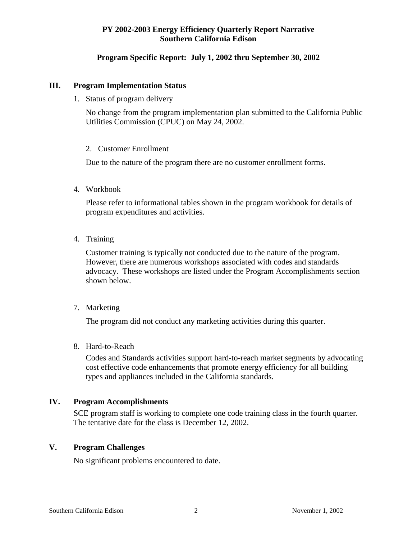# **Program Specific Report: July 1, 2002 thru September 30, 2002**

# **III. Program Implementation Status**

1. Status of program delivery

No change from the program implementation plan submitted to the California Public Utilities Commission (CPUC) on May 24, 2002.

#### 2. Customer Enrollment

Due to the nature of the program there are no customer enrollment forms.

4. Workbook

Please refer to informational tables shown in the program workbook for details of program expenditures and activities.

4. Training

Customer training is typically not conducted due to the nature of the program. However, there are numerous workshops associated with codes and standards advocacy. These workshops are listed under the Program Accomplishments section shown below.

7. Marketing

The program did not conduct any marketing activities during this quarter.

8. Hard-to-Reach

Codes and Standards activities support hard-to-reach market segments by advocating cost effective code enhancements that promote energy efficiency for all building types and appliances included in the California standards.

# **IV. Program Accomplishments**

 SCE program staff is working to complete one code training class in the fourth quarter. The tentative date for the class is December 12, 2002.

# **V. Program Challenges**

No significant problems encountered to date.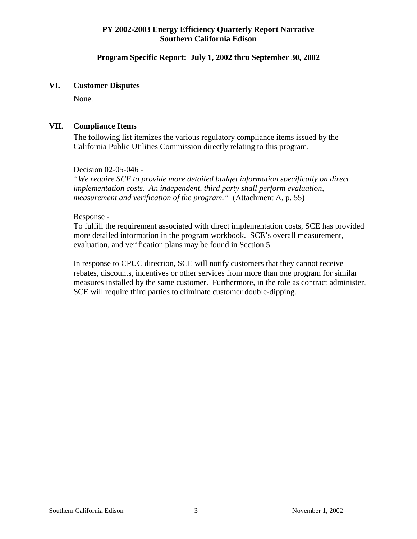# **Program Specific Report: July 1, 2002 thru September 30, 2002**

#### **VI. Customer Disputes**

None.

#### **VII. Compliance Items**

The following list itemizes the various regulatory compliance items issued by the California Public Utilities Commission directly relating to this program.

Decision 02-05-046 -

*"We require SCE to provide more detailed budget information specifically on direct implementation costs. An independent, third party shall perform evaluation, measurement and verification of the program."* (Attachment A, p. 55)

#### Response -

To fulfill the requirement associated with direct implementation costs, SCE has provided more detailed information in the program workbook. SCE's overall measurement, evaluation, and verification plans may be found in Section 5.

In response to CPUC direction, SCE will notify customers that they cannot receive rebates, discounts, incentives or other services from more than one program for similar measures installed by the same customer. Furthermore, in the role as contract administer, SCE will require third parties to eliminate customer double-dipping.